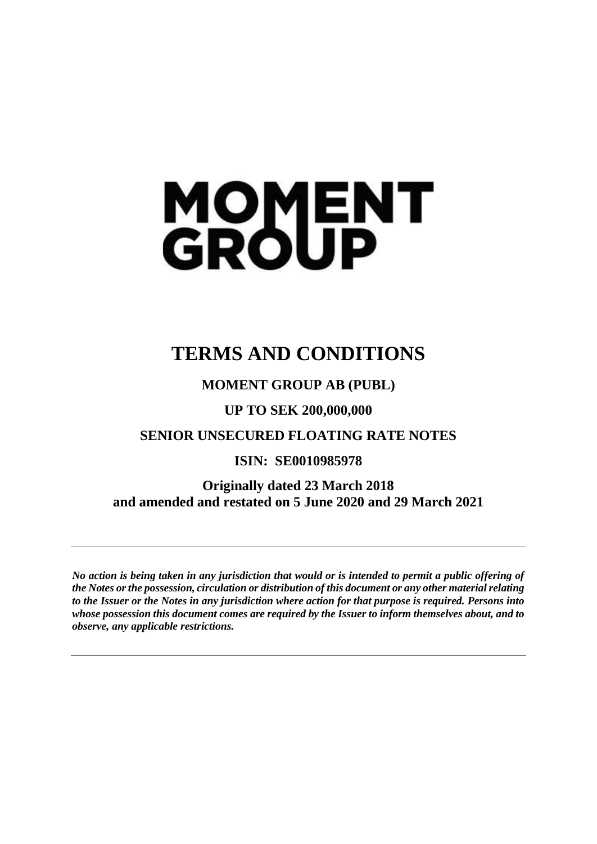# MOMENT<br>GROUP

# **TERMS AND CONDITIONS**

# **MOMENT GROUP AB (PUBL)**

# **UP TO SEK 200,000,000**

# **SENIOR UNSECURED FLOATING RATE NOTES**

# **ISIN: SE0010985978**

**Originally dated 23 March 2018 and amended and restated on 5 June 2020 and 29 March 2021**

*No action is being taken in any jurisdiction that would or is intended to permit a public offering of the Notes or the possession, circulation or distribution of this document or any other material relating to the Issuer or the Notes in any jurisdiction where action for that purpose is required. Persons into whose possession this document comes are required by the Issuer to inform themselves about, and to observe, any applicable restrictions.*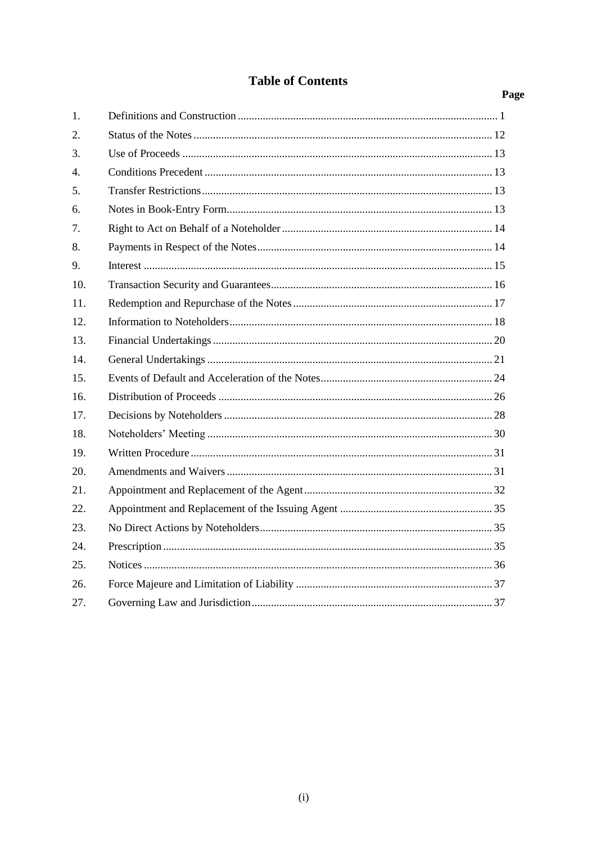# **Table of Contents**

# Page

| $\mathbf{1}$ .   |  |
|------------------|--|
| 2.               |  |
| 3.               |  |
| $\overline{4}$ . |  |
| 5.               |  |
| 6.               |  |
| 7.               |  |
| 8.               |  |
| 9.               |  |
| 10.              |  |
| 11.              |  |
| 12.              |  |
| 13.              |  |
| 14.              |  |
| 15.              |  |
| 16.              |  |
| 17.              |  |
| 18.              |  |
| 19.              |  |
| 20.              |  |
| 21.              |  |
| 22.              |  |
| 23.              |  |
| 24.              |  |
| 25.              |  |
| 26.              |  |
| 27.              |  |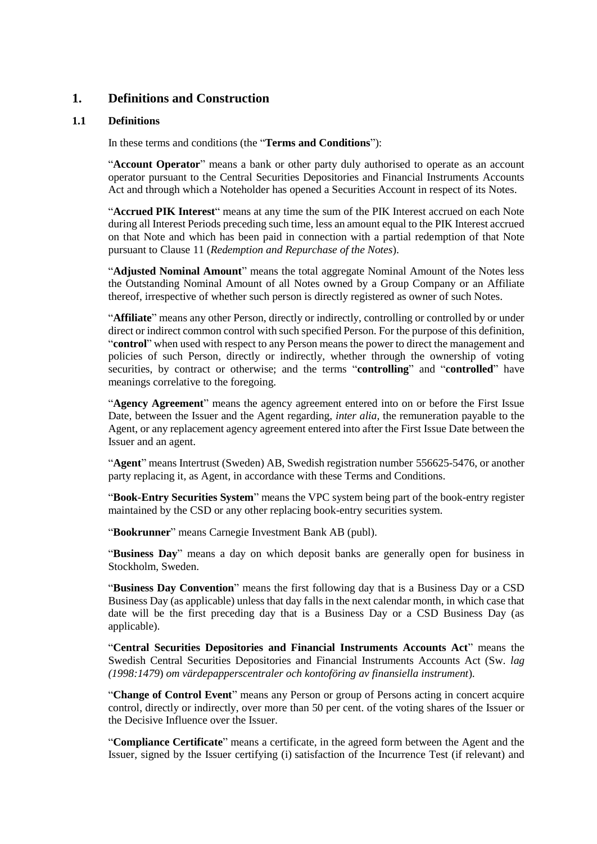# <span id="page-2-0"></span>**1. Definitions and Construction**

#### **1.1 Definitions**

In these terms and conditions (the "**Terms and Conditions**"):

"**Account Operator**" means a bank or other party duly authorised to operate as an account operator pursuant to the Central Securities Depositories and Financial Instruments Accounts Act and through which a Noteholder has opened a Securities Account in respect of its Notes.

"**Accrued PIK Interest**" means at any time the sum of the PIK Interest accrued on each Note during all Interest Periods preceding such time, less an amount equal to the PIK Interest accrued on that Note and which has been paid in connection with a partial redemption of that Note pursuant to Clause [11](#page-18-0) (*Redemption and Repurchase of the Notes*).

"**Adjusted Nominal Amount**" means the total aggregate Nominal Amount of the Notes less the Outstanding Nominal Amount of all Notes owned by a Group Company or an Affiliate thereof, irrespective of whether such person is directly registered as owner of such Notes.

"**Affiliate**" means any other Person, directly or indirectly, controlling or controlled by or under direct or indirect common control with such specified Person. For the purpose of this definition, "**control**" when used with respect to any Person means the power to direct the management and policies of such Person, directly or indirectly, whether through the ownership of voting securities, by contract or otherwise; and the terms "**controlling**" and "**controlled**" have meanings correlative to the foregoing.

"**Agency Agreement**" means the agency agreement entered into on or before the First Issue Date, between the Issuer and the Agent regarding, *inter alia*, the remuneration payable to the Agent, or any replacement agency agreement entered into after the First Issue Date between the Issuer and an agent.

"**Agent**" means Intertrust (Sweden) AB, Swedish registration number 556625-5476, or another party replacing it, as Agent, in accordance with these Terms and Conditions.

"**Book-Entry Securities System**" means the VPC system being part of the book-entry register maintained by the CSD or any other replacing book-entry securities system.

"**Bookrunner**" means Carnegie Investment Bank AB (publ).

"**Business Day**" means a day on which deposit banks are generally open for business in Stockholm, Sweden.

"**Business Day Convention**" means the first following day that is a Business Day or a CSD Business Day (as applicable) unless that day falls in the next calendar month, in which case that date will be the first preceding day that is a Business Day or a CSD Business Day (as applicable).

"**Central Securities Depositories and Financial Instruments Accounts Act**" means the Swedish Central Securities Depositories and Financial Instruments Accounts Act (Sw. *lag (1998:1479*) *om värdepapperscentraler och kontoföring av finansiella instrument*).

"**Change of Control Event**" means any Person or group of Persons acting in concert acquire control, directly or indirectly, over more than 50 per cent. of the voting shares of the Issuer or the Decisive Influence over the Issuer.

"**Compliance Certificate**" means a certificate, in the agreed form between the Agent and the Issuer, signed by the Issuer certifying (i) satisfaction of the Incurrence Test (if relevant) and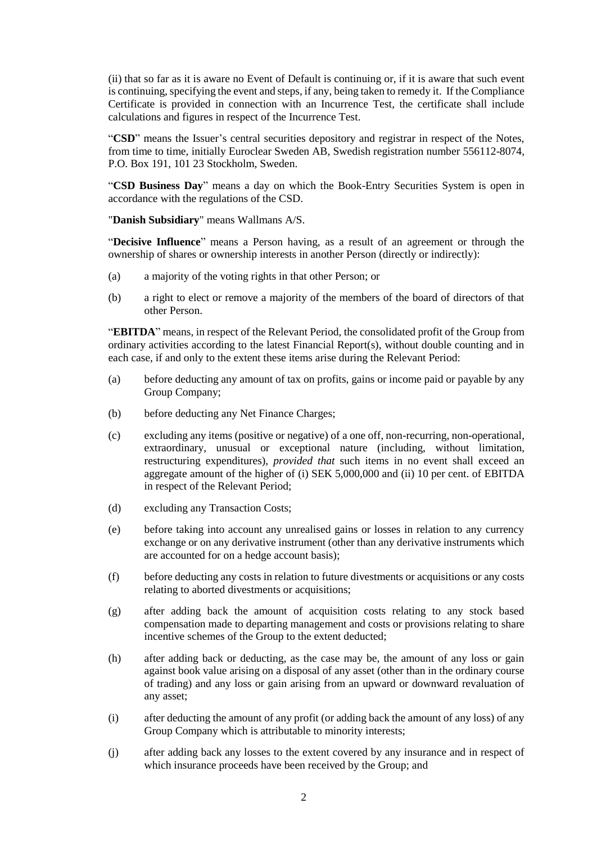(ii) that so far as it is aware no Event of Default is continuing or, if it is aware that such event is continuing, specifying the event and steps, if any, being taken to remedy it. If the Compliance Certificate is provided in connection with an Incurrence Test, the certificate shall include calculations and figures in respect of the Incurrence Test.

"**CSD**" means the Issuer's central securities depository and registrar in respect of the Notes, from time to time, initially Euroclear Sweden AB, Swedish registration number 556112-8074, P.O. Box 191, 101 23 Stockholm, Sweden.

"**CSD Business Day**" means a day on which the Book-Entry Securities System is open in accordance with the regulations of the CSD.

"**Danish Subsidiary**" means Wallmans A/S.

"**Decisive Influence**" means a Person having, as a result of an agreement or through the ownership of shares or ownership interests in another Person (directly or indirectly):

- (a) a majority of the voting rights in that other Person; or
- (b) a right to elect or remove a majority of the members of the board of directors of that other Person.

"**EBITDA**" means, in respect of the Relevant Period, the consolidated profit of the Group from ordinary activities according to the latest Financial Report(s), without double counting and in each case, if and only to the extent these items arise during the Relevant Period:

- (a) before deducting any amount of tax on profits, gains or income paid or payable by any Group Company;
- (b) before deducting any Net Finance Charges;
- (c) excluding any items (positive or negative) of a one off, non-recurring, non-operational, extraordinary, unusual or exceptional nature (including, without limitation, restructuring expenditures), *provided that* such items in no event shall exceed an aggregate amount of the higher of (i) SEK 5,000,000 and (ii) 10 per cent. of EBITDA in respect of the Relevant Period;
- (d) excluding any Transaction Costs;
- (e) before taking into account any unrealised gains or losses in relation to any currency exchange or on any derivative instrument (other than any derivative instruments which are accounted for on a hedge account basis);
- (f) before deducting any costs in relation to future divestments or acquisitions or any costs relating to aborted divestments or acquisitions;
- (g) after adding back the amount of acquisition costs relating to any stock based compensation made to departing management and costs or provisions relating to share incentive schemes of the Group to the extent deducted;
- (h) after adding back or deducting, as the case may be, the amount of any loss or gain against book value arising on a disposal of any asset (other than in the ordinary course of trading) and any loss or gain arising from an upward or downward revaluation of any asset;
- (i) after deducting the amount of any profit (or adding back the amount of any loss) of any Group Company which is attributable to minority interests;
- (j) after adding back any losses to the extent covered by any insurance and in respect of which insurance proceeds have been received by the Group; and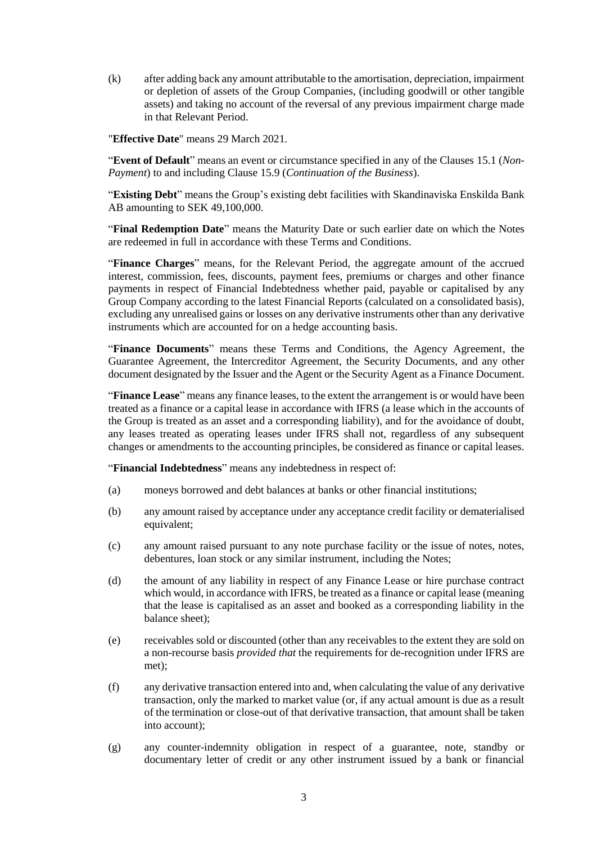(k) after adding back any amount attributable to the amortisation, depreciation, impairment or depletion of assets of the Group Companies, (including goodwill or other tangible assets) and taking no account of the reversal of any previous impairment charge made in that Relevant Period.

"**Effective Date**" means 29 March 2021.

"**Event of Default**" means an event or circumstance specified in any of the Clauses [15.1](#page-25-1) (*Non-Payment*) to and including Clause [15.9](#page-26-0) (*Continuation of the Business*).

"**Existing Debt**" means the Group's existing debt facilities with Skandinaviska Enskilda Bank AB amounting to SEK 49,100,000.

"**Final Redemption Date**" means the Maturity Date or such earlier date on which the Notes are redeemed in full in accordance with these Terms and Conditions.

"**Finance Charges**" means, for the Relevant Period, the aggregate amount of the accrued interest, commission, fees, discounts, payment fees, premiums or charges and other finance payments in respect of Financial Indebtedness whether paid, payable or capitalised by any Group Company according to the latest Financial Reports (calculated on a consolidated basis), excluding any unrealised gains or losses on any derivative instruments other than any derivative instruments which are accounted for on a hedge accounting basis.

"**Finance Documents**" means these Terms and Conditions, the Agency Agreement, the Guarantee Agreement, the Intercreditor Agreement, the Security Documents, and any other document designated by the Issuer and the Agent or the Security Agent as a Finance Document.

"**Finance Lease**" means any finance leases, to the extent the arrangement is or would have been treated as a finance or a capital lease in accordance with IFRS (a lease which in the accounts of the Group is treated as an asset and a corresponding liability), and for the avoidance of doubt, any leases treated as operating leases under IFRS shall not, regardless of any subsequent changes or amendments to the accounting principles, be considered as finance or capital leases.

"**Financial Indebtedness**" means any indebtedness in respect of:

- (a) moneys borrowed and debt balances at banks or other financial institutions;
- (b) any amount raised by acceptance under any acceptance credit facility or dematerialised equivalent;
- (c) any amount raised pursuant to any note purchase facility or the issue of notes, notes, debentures, loan stock or any similar instrument, including the Notes;
- (d) the amount of any liability in respect of any Finance Lease or hire purchase contract which would, in accordance with IFRS, be treated as a finance or capital lease (meaning that the lease is capitalised as an asset and booked as a corresponding liability in the balance sheet);
- (e) receivables sold or discounted (other than any receivables to the extent they are sold on a non-recourse basis *provided that* the requirements for de-recognition under IFRS are met);
- (f) any derivative transaction entered into and, when calculating the value of any derivative transaction, only the marked to market value (or, if any actual amount is due as a result of the termination or close-out of that derivative transaction, that amount shall be taken into account);
- (g) any counter-indemnity obligation in respect of a guarantee, note, standby or documentary letter of credit or any other instrument issued by a bank or financial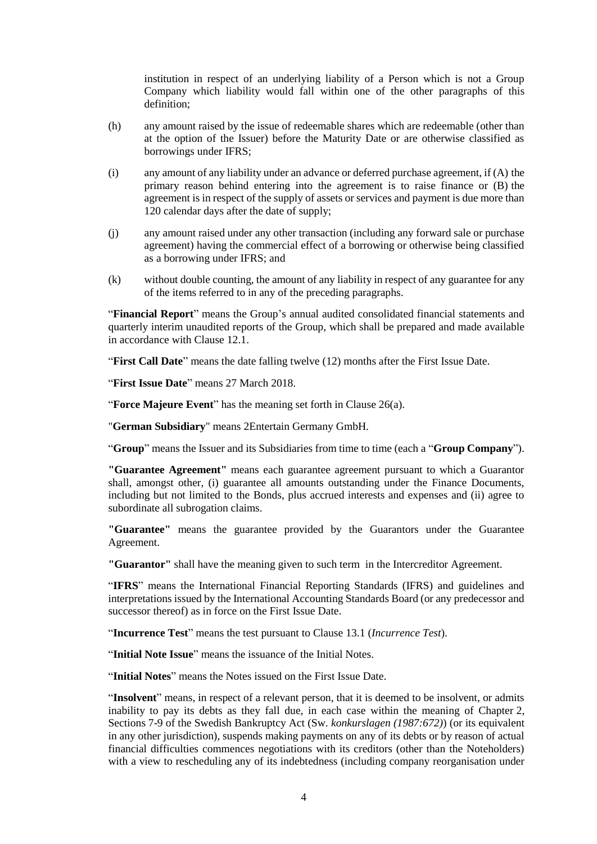institution in respect of an underlying liability of a Person which is not a Group Company which liability would fall within one of the other paragraphs of this definition;

- (h) any amount raised by the issue of redeemable shares which are redeemable (other than at the option of the Issuer) before the Maturity Date or are otherwise classified as borrowings under IFRS;
- (i) any amount of any liability under an advance or deferred purchase agreement, if (A) the primary reason behind entering into the agreement is to raise finance or (B) the agreement is in respect of the supply of assets or services and payment is due more than 120 calendar days after the date of supply;
- (j) any amount raised under any other transaction (including any forward sale or purchase agreement) having the commercial effect of a borrowing or otherwise being classified as a borrowing under IFRS; and
- (k) without double counting, the amount of any liability in respect of any guarantee for any of the items referred to in any of the preceding paragraphs.

"**Financial Report**" means the Group's annual audited consolidated financial statements and quarterly interim unaudited reports of the Group, which shall be prepared and made available in accordance with Clause [12.1.](#page-19-1)

"**First Call Date**" means the date falling twelve (12) months after the First Issue Date.

"**First Issue Date**" means 27 March 2018.

"**Force Majeure Event**" has the meaning set forth in Clause [26\(a\).](#page-38-2)

"**German Subsidiary**" means 2Entertain Germany GmbH.

"**Group**" means the Issuer and its Subsidiaries from time to time (each a "**Group Company**").

**"Guarantee Agreement"** means each guarantee agreement pursuant to which a Guarantor shall, amongst other, (i) guarantee all amounts outstanding under the Finance Documents, including but not limited to the Bonds, plus accrued interests and expenses and (ii) agree to subordinate all subrogation claims.

**"Guarantee"** means the guarantee provided by the Guarantors under the Guarantee Agreement.

**"Guarantor"** shall have the meaning given to such term in the Intercreditor Agreement.

"**IFRS**" means the International Financial Reporting Standards (IFRS) and guidelines and interpretations issued by the International Accounting Standards Board (or any predecessor and successor thereof) as in force on the First Issue Date.

"**Incurrence Test**" means the test pursuant to Clause [13.1](#page-21-1) (*Incurrence Test*).

"**Initial Note Issue**" means the issuance of the Initial Notes.

"**Initial Notes**" means the Notes issued on the First Issue Date.

"**Insolvent**" means, in respect of a relevant person, that it is deemed to be insolvent, or admits inability to pay its debts as they fall due, in each case within the meaning of Chapter 2, Sections 7-9 of the Swedish Bankruptcy Act (Sw. *konkurslagen (1987:672)*) (or its equivalent in any other jurisdiction), suspends making payments on any of its debts or by reason of actual financial difficulties commences negotiations with its creditors (other than the Noteholders) with a view to rescheduling any of its indebtedness (including company reorganisation under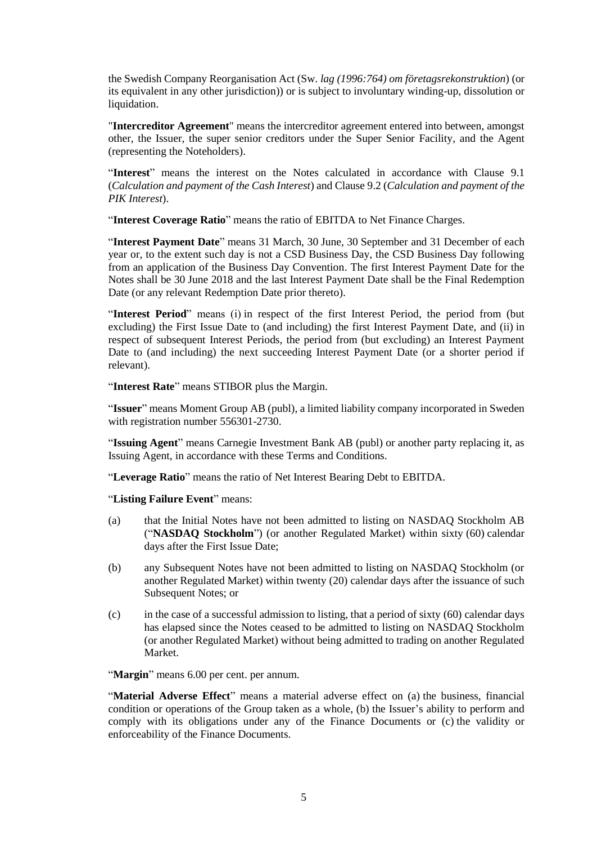the Swedish Company Reorganisation Act (Sw. *lag (1996:764) om företagsrekonstruktion*) (or its equivalent in any other jurisdiction)) or is subject to involuntary winding-up, dissolution or liquidation.

"**Intercreditor Agreement**" means the intercreditor agreement entered into between, amongst other, the Issuer, the super senior creditors under the Super Senior Facility, and the Agent (representing the Noteholders).

"**Interest**" means the interest on the Notes calculated in accordance with Clause [9.1](#page-16-1) (*Calculation and payment of the Cash Interest*) and Claus[e 9.2](#page-16-2) (*Calculation and payment of the PIK Interest*).

"**Interest Coverage Ratio**" means the ratio of EBITDA to Net Finance Charges.

"**Interest Payment Date**" means 31 March, 30 June, 30 September and 31 December of each year or, to the extent such day is not a CSD Business Day, the CSD Business Day following from an application of the Business Day Convention. The first Interest Payment Date for the Notes shall be 30 June 2018 and the last Interest Payment Date shall be the Final Redemption Date (or any relevant Redemption Date prior thereto).

"**Interest Period**" means (i) in respect of the first Interest Period, the period from (but excluding) the First Issue Date to (and including) the first Interest Payment Date, and (ii) in respect of subsequent Interest Periods, the period from (but excluding) an Interest Payment Date to (and including) the next succeeding Interest Payment Date (or a shorter period if relevant).

"**Interest Rate**" means STIBOR plus the Margin.

"**Issuer**" means Moment Group AB (publ), a limited liability company incorporated in Sweden with registration number 556301-2730.

"**Issuing Agent**" means Carnegie Investment Bank AB (publ) or another party replacing it, as Issuing Agent, in accordance with these Terms and Conditions.

"**Leverage Ratio**" means the ratio of Net Interest Bearing Debt to EBITDA.

"**Listing Failure Event**" means:

- (a) that the Initial Notes have not been admitted to listing on NASDAQ Stockholm AB ("**NASDAQ Stockholm**") (or another Regulated Market) within sixty (60) calendar days after the First Issue Date;
- (b) any Subsequent Notes have not been admitted to listing on NASDAQ Stockholm (or another Regulated Market) within twenty (20) calendar days after the issuance of such Subsequent Notes; or
- (c) in the case of a successful admission to listing, that a period of sixty (60) calendar days has elapsed since the Notes ceased to be admitted to listing on NASDAQ Stockholm (or another Regulated Market) without being admitted to trading on another Regulated Market.

"**Margin**" means 6.00 per cent. per annum.

"Material Adverse Effect" means a material adverse effect on (a) the business, financial condition or operations of the Group taken as a whole, (b) the Issuer's ability to perform and comply with its obligations under any of the Finance Documents or (c) the validity or enforceability of the Finance Documents.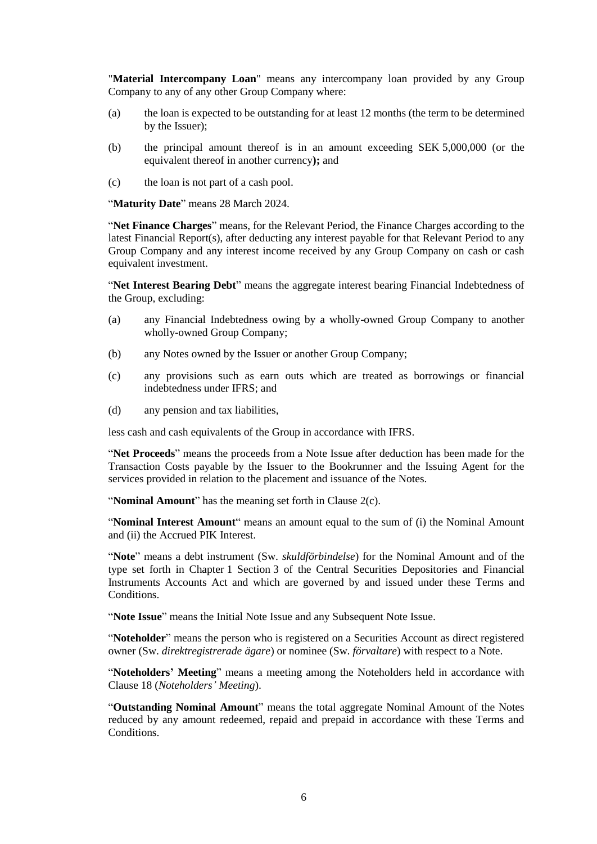"**Material Intercompany Loan**" means any intercompany loan provided by any Group Company to any of any other Group Company where:

- (a) the loan is expected to be outstanding for at least 12 months (the term to be determined by the Issuer);
- (b) the principal amount thereof is in an amount exceeding SEK 5,000,000 (or the equivalent thereof in another currency**);** and
- (c) the loan is not part of a cash pool.

"**Maturity Date**" means 28 March 2024.

"**Net Finance Charges**" means, for the Relevant Period, the Finance Charges according to the latest Financial Report(s), after deducting any interest payable for that Relevant Period to any Group Company and any interest income received by any Group Company on cash or cash equivalent investment.

"**Net Interest Bearing Debt**" means the aggregate interest bearing Financial Indebtedness of the Group, excluding:

- (a) any Financial Indebtedness owing by a wholly-owned Group Company to another wholly-owned Group Company;
- (b) any Notes owned by the Issuer or another Group Company;
- (c) any provisions such as earn outs which are treated as borrowings or financial indebtedness under IFRS; and
- (d) any pension and tax liabilities,

less cash and cash equivalents of the Group in accordance with IFRS.

"**Net Proceeds**" means the proceeds from a Note Issue after deduction has been made for the Transaction Costs payable by the Issuer to the Bookrunner and the Issuing Agent for the services provided in relation to the placement and issuance of the Notes.

"**Nominal Amount**" has the meaning set forth in Clause [2\(c\).](#page-13-1)

"**Nominal Interest Amount**" means an amount equal to the sum of (i) the Nominal Amount and (ii) the Accrued PIK Interest.

"**Note**" means a debt instrument (Sw. *skuldförbindelse*) for the Nominal Amount and of the type set forth in Chapter 1 Section 3 of the Central Securities Depositories and Financial Instruments Accounts Act and which are governed by and issued under these Terms and Conditions.

"**Note Issue**" means the Initial Note Issue and any Subsequent Note Issue.

"**Noteholder**" means the person who is registered on a Securities Account as direct registered owner (Sw. *direktregistrerade ägare*) or nominee (Sw. *förvaltare*) with respect to a Note.

"**Noteholders' Meeting**" means a meeting among the Noteholders held in accordance with Clause [18](#page-31-0) (*Noteholders' Meeting*).

"**Outstanding Nominal Amount**" means the total aggregate Nominal Amount of the Notes reduced by any amount redeemed, repaid and prepaid in accordance with these Terms and **Conditions**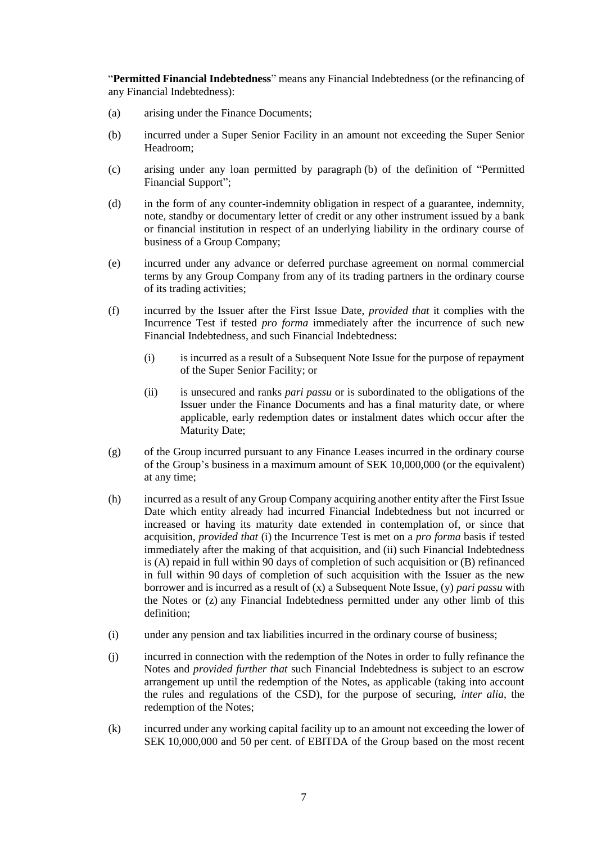"**Permitted Financial Indebtedness**" means any Financial Indebtedness (or the refinancing of any Financial Indebtedness):

- (a) arising under the Finance Documents;
- <span id="page-8-1"></span>(b) incurred under a Super Senior Facility in an amount not exceeding the Super Senior Headroom;
- (c) arising under any loan permitted by paragraph [\(b\)](#page-9-0) of the definition of "Permitted Financial Support";
- (d) in the form of any counter-indemnity obligation in respect of a guarantee, indemnity, note, standby or documentary letter of credit or any other instrument issued by a bank or financial institution in respect of an underlying liability in the ordinary course of business of a Group Company;
- (e) incurred under any advance or deferred purchase agreement on normal commercial terms by any Group Company from any of its trading partners in the ordinary course of its trading activities;
- <span id="page-8-4"></span>(f) incurred by the Issuer after the First Issue Date, *provided that* it complies with the Incurrence Test if tested *pro forma* immediately after the incurrence of such new Financial Indebtedness, and such Financial Indebtedness:
	- (i) is incurred as a result of a Subsequent Note Issue for the purpose of repayment of the Super Senior Facility; or
	- (ii) is unsecured and ranks *pari passu* or is subordinated to the obligations of the Issuer under the Finance Documents and has a final maturity date, or where applicable, early redemption dates or instalment dates which occur after the Maturity Date;
- <span id="page-8-2"></span>(g) of the Group incurred pursuant to any Finance Leases incurred in the ordinary course of the Group's business in a maximum amount of SEK 10,000,000 (or the equivalent) at any time;
- <span id="page-8-3"></span>(h) incurred as a result of any Group Company acquiring another entity after the First Issue Date which entity already had incurred Financial Indebtedness but not incurred or increased or having its maturity date extended in contemplation of, or since that acquisition, *provided that* (i) the Incurrence Test is met on a *pro forma* basis if tested immediately after the making of that acquisition, and (ii) such Financial Indebtedness is (A) repaid in full within 90 days of completion of such acquisition or (B) refinanced in full within 90 days of completion of such acquisition with the Issuer as the new borrower and is incurred as a result of (x) a Subsequent Note Issue, (y) *pari passu* with the Notes or (z) any Financial Indebtedness permitted under any other limb of this definition;
- (i) under any pension and tax liabilities incurred in the ordinary course of business;
- (j) incurred in connection with the redemption of the Notes in order to fully refinance the Notes and *provided further that* such Financial Indebtedness is subject to an escrow arrangement up until the redemption of the Notes, as applicable (taking into account the rules and regulations of the CSD), for the purpose of securing, *inter alia*, the redemption of the Notes;
- <span id="page-8-0"></span>(k) incurred under any working capital facility up to an amount not exceeding the lower of SEK 10,000,000 and 50 per cent. of EBITDA of the Group based on the most recent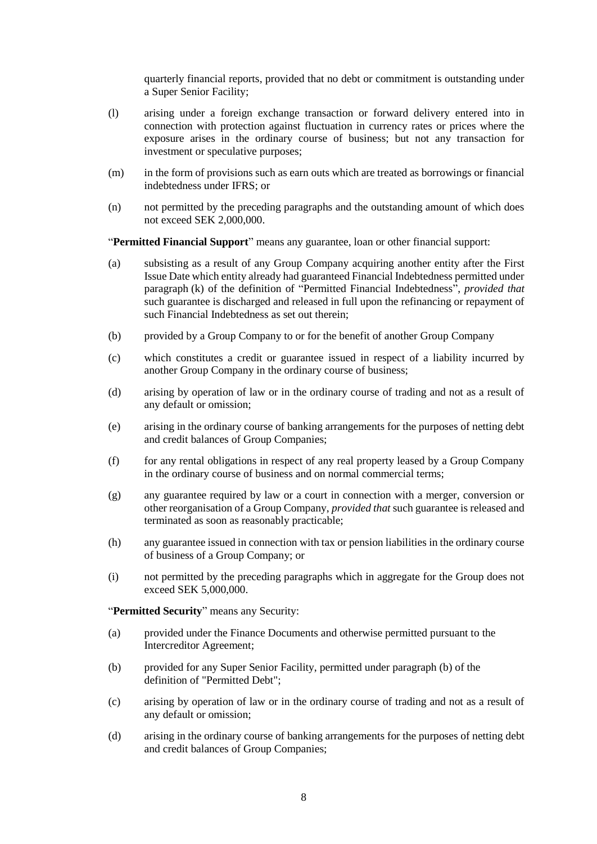quarterly financial reports, provided that no debt or commitment is outstanding under a Super Senior Facility;

- <span id="page-9-1"></span>(l) arising under a foreign exchange transaction or forward delivery entered into in connection with protection against fluctuation in currency rates or prices where the exposure arises in the ordinary course of business; but not any transaction for investment or speculative purposes;
- (m) in the form of provisions such as earn outs which are treated as borrowings or financial indebtedness under IFRS; or
- (n) not permitted by the preceding paragraphs and the outstanding amount of which does not exceed SEK 2,000,000.

"**Permitted Financial Support**" means any guarantee, loan or other financial support:

- (a) subsisting as a result of any Group Company acquiring another entity after the First Issue Date which entity already had guaranteed Financial Indebtedness permitted under paragraph [\(k\)](#page-8-0) of the definition of "Permitted Financial Indebtedness", *provided that* such guarantee is discharged and released in full upon the refinancing or repayment of such Financial Indebtedness as set out therein;
- <span id="page-9-0"></span>(b) provided by a Group Company to or for the benefit of another Group Company
- (c) which constitutes a credit or guarantee issued in respect of a liability incurred by another Group Company in the ordinary course of business;
- (d) arising by operation of law or in the ordinary course of trading and not as a result of any default or omission;
- (e) arising in the ordinary course of banking arrangements for the purposes of netting debt and credit balances of Group Companies;
- (f) for any rental obligations in respect of any real property leased by a Group Company in the ordinary course of business and on normal commercial terms;
- (g) any guarantee required by law or a court in connection with a merger, conversion or other reorganisation of a Group Company, *provided that* such guarantee is released and terminated as soon as reasonably practicable;
- (h) any guarantee issued in connection with tax or pension liabilities in the ordinary course of business of a Group Company; or
- (i) not permitted by the preceding paragraphs which in aggregate for the Group does not exceed SEK 5,000,000.

"**Permitted Security**" means any Security:

- (a) provided under the Finance Documents and otherwise permitted pursuant to the Intercreditor Agreement;
- (b) provided for any Super Senior Facility, permitted under paragraph [\(b\)](#page-8-1) of the definition of "Permitted Debt";
- (c) arising by operation of law or in the ordinary course of trading and not as a result of any default or omission;
- (d) arising in the ordinary course of banking arrangements for the purposes of netting debt and credit balances of Group Companies;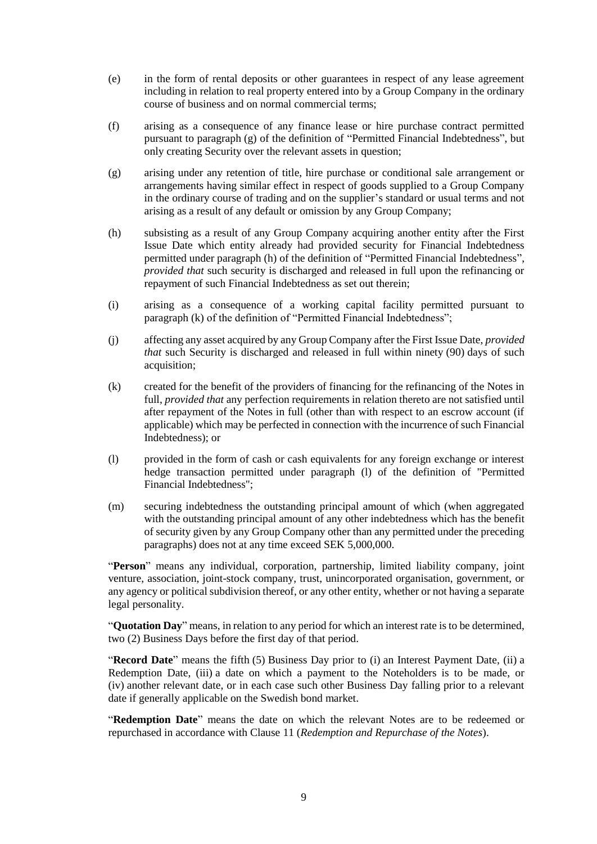- (e) in the form of rental deposits or other guarantees in respect of any lease agreement including in relation to real property entered into by a Group Company in the ordinary course of business and on normal commercial terms;
- (f) arising as a consequence of any finance lease or hire purchase contract permitted pursuant to paragraph [\(g\)](#page-8-2) of the definition of "Permitted Financial Indebtedness", but only creating Security over the relevant assets in question;
- (g) arising under any retention of title, hire purchase or conditional sale arrangement or arrangements having similar effect in respect of goods supplied to a Group Company in the ordinary course of trading and on the supplier's standard or usual terms and not arising as a result of any default or omission by any Group Company;
- (h) subsisting as a result of any Group Company acquiring another entity after the First Issue Date which entity already had provided security for Financial Indebtedness permitted under paragraph [\(h\)](#page-8-3) of the definition of "Permitted Financial Indebtedness", *provided that* such security is discharged and released in full upon the refinancing or repayment of such Financial Indebtedness as set out therein;
- (i) arising as a consequence of a working capital facility permitted pursuant to paragraph [\(k\)](#page-8-0) of the definition of "Permitted Financial Indebtedness";
- (j) affecting any asset acquired by any Group Company after the First Issue Date, *provided that* such Security is discharged and released in full within ninety (90) days of such acquisition;
- (k) created for the benefit of the providers of financing for the refinancing of the Notes in full, *provided that* any perfection requirements in relation thereto are not satisfied until after repayment of the Notes in full (other than with respect to an escrow account (if applicable) which may be perfected in connection with the incurrence of such Financial Indebtedness); or
- (l) provided in the form of cash or cash equivalents for any foreign exchange or interest hedge transaction permitted under paragraph [\(l\)](#page-9-1) of the definition of "Permitted Financial Indebtedness";
- (m) securing indebtedness the outstanding principal amount of which (when aggregated with the outstanding principal amount of any other indebtedness which has the benefit of security given by any Group Company other than any permitted under the preceding paragraphs) does not at any time exceed SEK 5,000,000.

"**Person**" means any individual, corporation, partnership, limited liability company, joint venture, association, joint-stock company, trust, unincorporated organisation, government, or any agency or political subdivision thereof, or any other entity, whether or not having a separate legal personality.

"**Quotation Day**" means, in relation to any period for which an interest rate is to be determined, two (2) Business Days before the first day of that period.

"**Record Date**" means the fifth (5) Business Day prior to (i) an Interest Payment Date, (ii) a Redemption Date, (iii) a date on which a payment to the Noteholders is to be made, or (iv) another relevant date, or in each case such other Business Day falling prior to a relevant date if generally applicable on the Swedish bond market.

"**Redemption Date**" means the date on which the relevant Notes are to be redeemed or repurchased in accordance with Clause [11](#page-18-0) (*Redemption and Repurchase of the Notes*).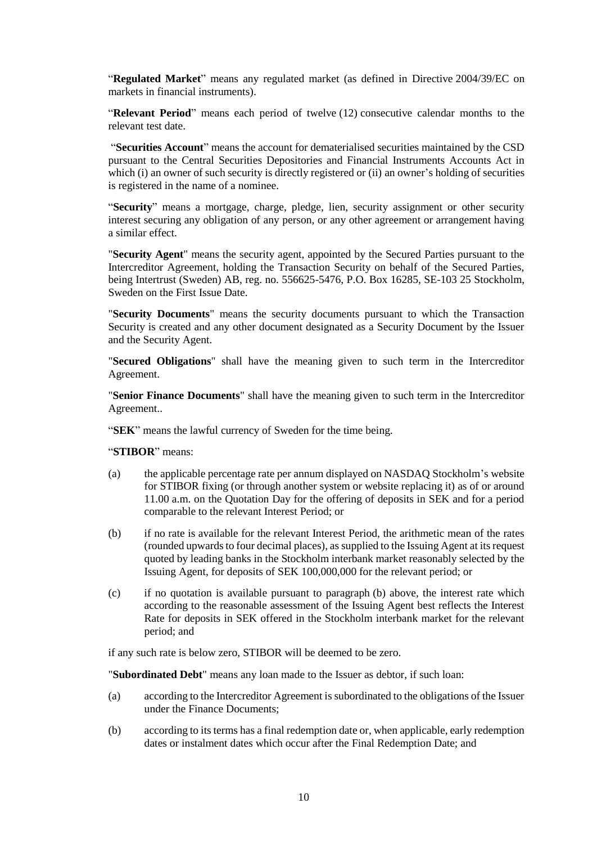"**Regulated Market**" means any regulated market (as defined in Directive 2004/39/EC on markets in financial instruments).

"**Relevant Period**" means each period of twelve (12) consecutive calendar months to the relevant test date.

"**Securities Account**" means the account for dematerialised securities maintained by the CSD pursuant to the Central Securities Depositories and Financial Instruments Accounts Act in which (i) an owner of such security is directly registered or (ii) an owner's holding of securities is registered in the name of a nominee.

"**Security**" means a mortgage, charge, pledge, lien, security assignment or other security interest securing any obligation of any person, or any other agreement or arrangement having a similar effect.

"**Security Agent**" means the security agent, appointed by the Secured Parties pursuant to the Intercreditor Agreement, holding the Transaction Security on behalf of the Secured Parties, being Intertrust (Sweden) AB, reg. no. 556625-5476, P.O. Box 16285, SE-103 25 Stockholm, Sweden on the First Issue Date.

"**Security Documents**" means the security documents pursuant to which the Transaction Security is created and any other document designated as a Security Document by the Issuer and the Security Agent.

"**Secured Obligations**" shall have the meaning given to such term in the Intercreditor Agreement.

"**Senior Finance Documents**" shall have the meaning given to such term in the Intercreditor Agreement..

"**SEK**" means the lawful currency of Sweden for the time being.

"**STIBOR**" means:

- (a) the applicable percentage rate per annum displayed on NASDAQ Stockholm's website for STIBOR fixing (or through another system or website replacing it) as of or around 11.00 a.m. on the Quotation Day for the offering of deposits in SEK and for a period comparable to the relevant Interest Period; or
- <span id="page-11-0"></span>(b) if no rate is available for the relevant Interest Period, the arithmetic mean of the rates (rounded upwards to four decimal places), as supplied to the Issuing Agent at its request quoted by leading banks in the Stockholm interbank market reasonably selected by the Issuing Agent, for deposits of SEK 100,000,000 for the relevant period; or
- (c) if no quotation is available pursuant to paragraph [\(b\)](#page-11-0) above, the interest rate which according to the reasonable assessment of the Issuing Agent best reflects the Interest Rate for deposits in SEK offered in the Stockholm interbank market for the relevant period; and

if any such rate is below zero, STIBOR will be deemed to be zero.

"**Subordinated Debt**" means any loan made to the Issuer as debtor, if such loan:

- (a) according to the Intercreditor Agreement is subordinated to the obligations of the Issuer under the Finance Documents;
- (b) according to its terms has a final redemption date or, when applicable, early redemption dates or instalment dates which occur after the Final Redemption Date; and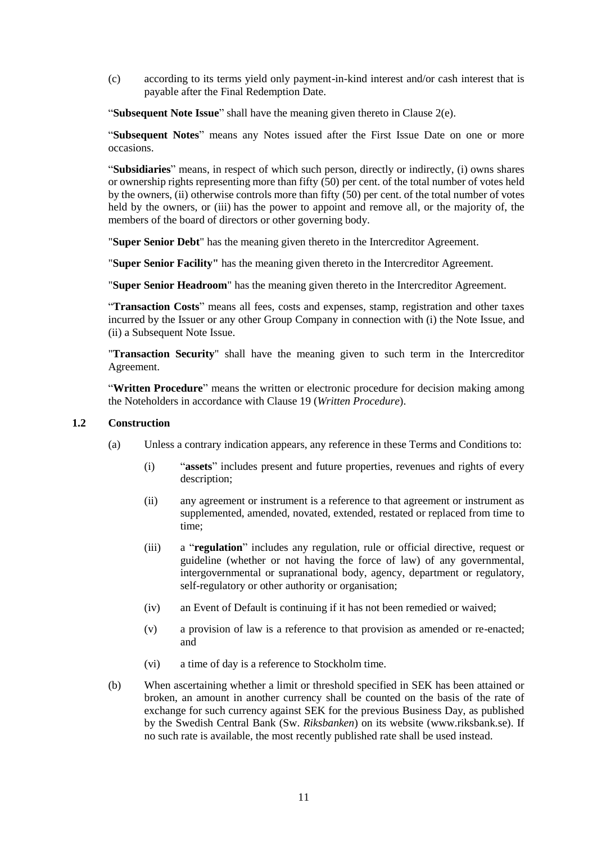(c) according to its terms yield only payment-in-kind interest and/or cash interest that is payable after the Final Redemption Date.

"**Subsequent Note Issue**" shall have the meaning given thereto in Clause [2\(e\).](#page-13-2)

"**Subsequent Notes**" means any Notes issued after the First Issue Date on one or more occasions.

"**Subsidiaries**" means, in respect of which such person, directly or indirectly, (i) owns shares or ownership rights representing more than fifty (50) per cent. of the total number of votes held by the owners, (ii) otherwise controls more than fifty (50) per cent. of the total number of votes held by the owners, or (iii) has the power to appoint and remove all, or the majority of, the members of the board of directors or other governing body.

"**Super Senior Debt**" has the meaning given thereto in the Intercreditor Agreement.

"**Super Senior Facility"** has the meaning given thereto in the Intercreditor Agreement.

"**Super Senior Headroom**" has the meaning given thereto in the Intercreditor Agreement.

"**Transaction Costs**" means all fees, costs and expenses, stamp, registration and other taxes incurred by the Issuer or any other Group Company in connection with (i) the Note Issue, and (ii) a Subsequent Note Issue.

"**Transaction Security**" shall have the meaning given to such term in the Intercreditor Agreement.

"Written Procedure" means the written or electronic procedure for decision making among the Noteholders in accordance with Clause [19](#page-32-0) (*Written Procedure*).

#### **1.2 Construction**

- (a) Unless a contrary indication appears, any reference in these Terms and Conditions to:
	- (i) "**assets**" includes present and future properties, revenues and rights of every description:
	- (ii) any agreement or instrument is a reference to that agreement or instrument as supplemented, amended, novated, extended, restated or replaced from time to time;
	- (iii) a "**regulation**" includes any regulation, rule or official directive, request or guideline (whether or not having the force of law) of any governmental, intergovernmental or supranational body, agency, department or regulatory, self-regulatory or other authority or organisation;
	- (iv) an Event of Default is continuing if it has not been remedied or waived;
	- (v) a provision of law is a reference to that provision as amended or re-enacted; and
	- (vi) a time of day is a reference to Stockholm time.
- (b) When ascertaining whether a limit or threshold specified in SEK has been attained or broken, an amount in another currency shall be counted on the basis of the rate of exchange for such currency against SEK for the previous Business Day, as published by the Swedish Central Bank (Sw. *Riksbanken*) on its website (www.riksbank.se). If no such rate is available, the most recently published rate shall be used instead.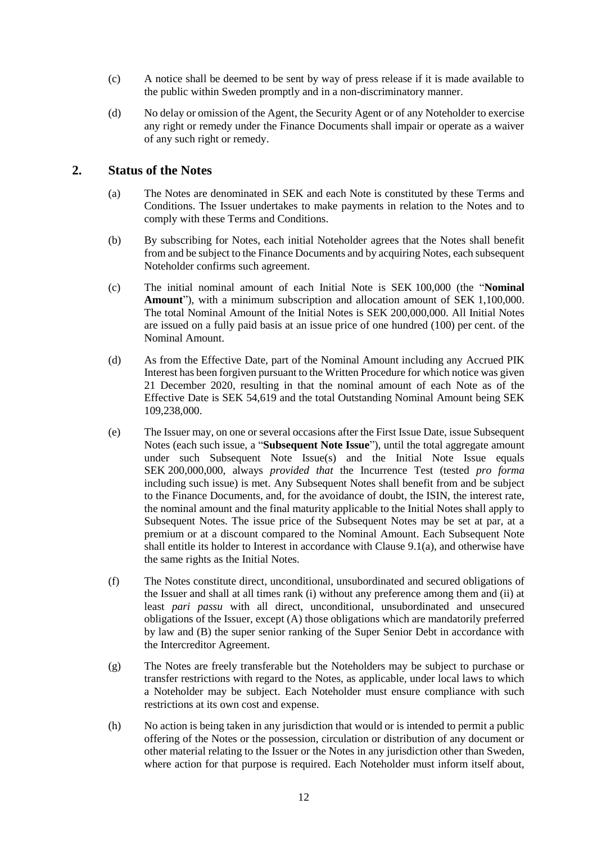- (c) A notice shall be deemed to be sent by way of press release if it is made available to the public within Sweden promptly and in a non-discriminatory manner.
- (d) No delay or omission of the Agent, the Security Agent or of any Noteholder to exercise any right or remedy under the Finance Documents shall impair or operate as a waiver of any such right or remedy.

# <span id="page-13-0"></span>**2. Status of the Notes**

- (a) The Notes are denominated in SEK and each Note is constituted by these Terms and Conditions. The Issuer undertakes to make payments in relation to the Notes and to comply with these Terms and Conditions.
- (b) By subscribing for Notes, each initial Noteholder agrees that the Notes shall benefit from and be subject to the Finance Documents and by acquiring Notes, each subsequent Noteholder confirms such agreement.
- <span id="page-13-1"></span>(c) The initial nominal amount of each Initial Note is SEK 100,000 (the "**Nominal Amount**"), with a minimum subscription and allocation amount of SEK 1,100,000. The total Nominal Amount of the Initial Notes is SEK 200,000,000. All Initial Notes are issued on a fully paid basis at an issue price of one hundred (100) per cent. of the Nominal Amount.
- (d) As from the Effective Date, part of the Nominal Amount including any Accrued PIK Interest has been forgiven pursuant to the Written Procedure for which notice was given 21 December 2020, resulting in that the nominal amount of each Note as of the Effective Date is SEK 54,619 and the total Outstanding Nominal Amount being SEK 109,238,000.
- <span id="page-13-2"></span>(e) The Issuer may, on one or several occasions after the First Issue Date, issue Subsequent Notes (each such issue, a "**Subsequent Note Issue**"), until the total aggregate amount under such Subsequent Note Issue(s) and the Initial Note Issue equals SEK 200,000,000, always *provided that* the Incurrence Test (tested *pro forma* including such issue) is met. Any Subsequent Notes shall benefit from and be subject to the Finance Documents, and, for the avoidance of doubt, the ISIN, the interest rate, the nominal amount and the final maturity applicable to the Initial Notes shall apply to Subsequent Notes. The issue price of the Subsequent Notes may be set at par, at a premium or at a discount compared to the Nominal Amount. Each Subsequent Note shall entitle its holder to Interest in accordance with Clause [9.1\(a\),](#page-16-3) and otherwise have the same rights as the Initial Notes.
- (f) The Notes constitute direct, unconditional, unsubordinated and secured obligations of the Issuer and shall at all times rank (i) without any preference among them and (ii) at least *pari passu* with all direct, unconditional, unsubordinated and unsecured obligations of the Issuer, except (A) those obligations which are mandatorily preferred by law and (B) the super senior ranking of the Super Senior Debt in accordance with the Intercreditor Agreement.
- (g) The Notes are freely transferable but the Noteholders may be subject to purchase or transfer restrictions with regard to the Notes, as applicable, under local laws to which a Noteholder may be subject. Each Noteholder must ensure compliance with such restrictions at its own cost and expense.
- (h) No action is being taken in any jurisdiction that would or is intended to permit a public offering of the Notes or the possession, circulation or distribution of any document or other material relating to the Issuer or the Notes in any jurisdiction other than Sweden, where action for that purpose is required. Each Noteholder must inform itself about,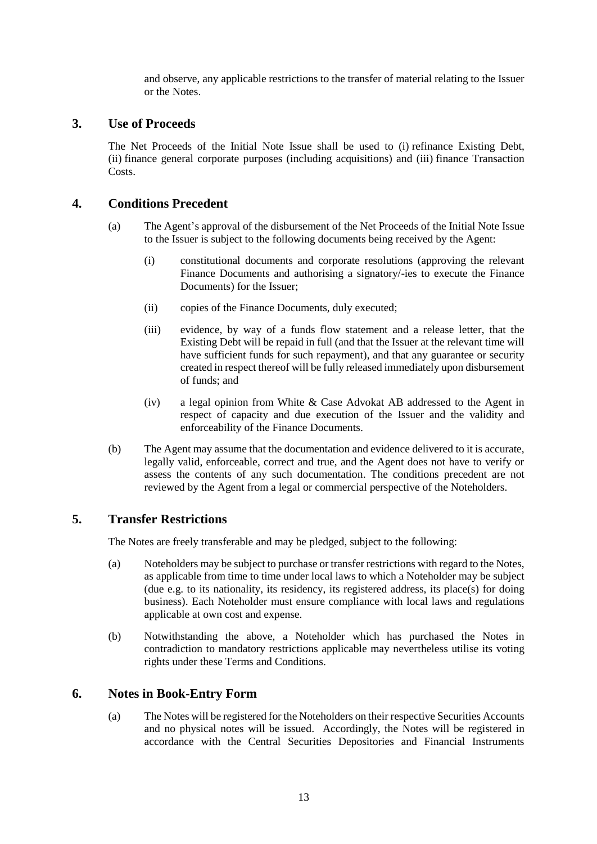and observe, any applicable restrictions to the transfer of material relating to the Issuer or the Notes.

# <span id="page-14-0"></span>**3. Use of Proceeds**

The Net Proceeds of the Initial Note Issue shall be used to (i) refinance Existing Debt, (ii) finance general corporate purposes (including acquisitions) and (iii) finance Transaction Costs.

# <span id="page-14-1"></span>**4. Conditions Precedent**

- (a) The Agent's approval of the disbursement of the Net Proceeds of the Initial Note Issue to the Issuer is subject to the following documents being received by the Agent:
	- (i) constitutional documents and corporate resolutions (approving the relevant Finance Documents and authorising a signatory/-ies to execute the Finance Documents) for the Issuer;
	- (ii) copies of the Finance Documents, duly executed;
	- (iii) evidence, by way of a funds flow statement and a release letter, that the Existing Debt will be repaid in full (and that the Issuer at the relevant time will have sufficient funds for such repayment), and that any guarantee or security created in respect thereof will be fully released immediately upon disbursement of funds; and
	- (iv) a legal opinion from White & Case Advokat AB addressed to the Agent in respect of capacity and due execution of the Issuer and the validity and enforceability of the Finance Documents.
- (b) The Agent may assume that the documentation and evidence delivered to it is accurate, legally valid, enforceable, correct and true, and the Agent does not have to verify or assess the contents of any such documentation. The conditions precedent are not reviewed by the Agent from a legal or commercial perspective of the Noteholders.

# <span id="page-14-2"></span>**5. Transfer Restrictions**

The Notes are freely transferable and may be pledged, subject to the following:

- (a) Noteholders may be subject to purchase or transfer restrictions with regard to the Notes, as applicable from time to time under local laws to which a Noteholder may be subject (due e.g. to its nationality, its residency, its registered address, its place(s) for doing business). Each Noteholder must ensure compliance with local laws and regulations applicable at own cost and expense.
- (b) Notwithstanding the above, a Noteholder which has purchased the Notes in contradiction to mandatory restrictions applicable may nevertheless utilise its voting rights under these Terms and Conditions.

# <span id="page-14-3"></span>**6. Notes in Book-Entry Form**

(a) The Notes will be registered for the Noteholders on their respective Securities Accounts and no physical notes will be issued. Accordingly, the Notes will be registered in accordance with the Central Securities Depositories and Financial Instruments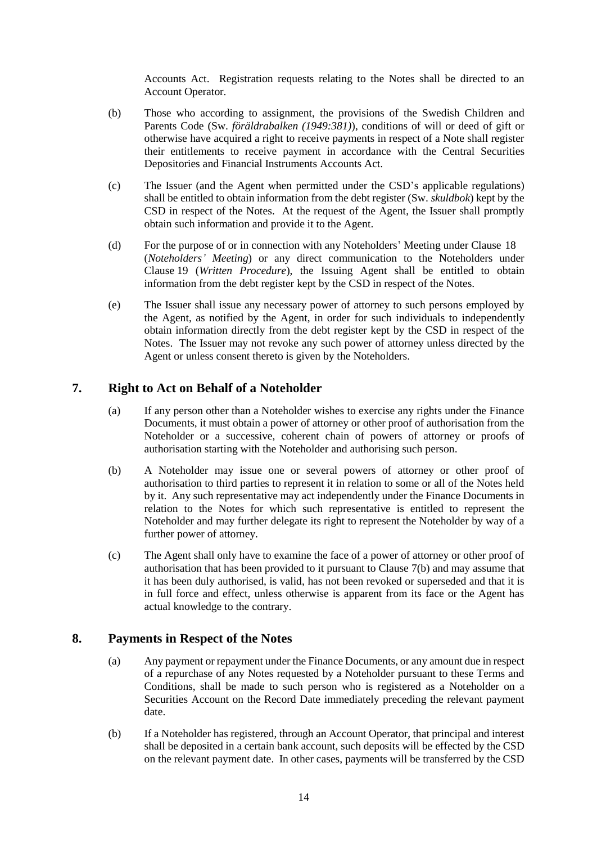Accounts Act. Registration requests relating to the Notes shall be directed to an Account Operator.

- (b) Those who according to assignment, the provisions of the Swedish Children and Parents Code (Sw. *föräldrabalken (1949:381)*), conditions of will or deed of gift or otherwise have acquired a right to receive payments in respect of a Note shall register their entitlements to receive payment in accordance with the Central Securities Depositories and Financial Instruments Accounts Act.
- (c) The Issuer (and the Agent when permitted under the CSD's applicable regulations) shall be entitled to obtain information from the debt register (Sw. *skuldbok*) kept by the CSD in respect of the Notes. At the request of the Agent, the Issuer shall promptly obtain such information and provide it to the Agent.
- (d) For the purpose of or in connection with any Noteholders' Meeting under Clause [18](#page-31-0) (*Noteholders' Meeting*) or any direct communication to the Noteholders under Clause [19](#page-32-0) (*Written Procedure*), the Issuing Agent shall be entitled to obtain information from the debt register kept by the CSD in respect of the Notes.
- (e) The Issuer shall issue any necessary power of attorney to such persons employed by the Agent, as notified by the Agent, in order for such individuals to independently obtain information directly from the debt register kept by the CSD in respect of the Notes. The Issuer may not revoke any such power of attorney unless directed by the Agent or unless consent thereto is given by the Noteholders.

# <span id="page-15-0"></span>**7. Right to Act on Behalf of a Noteholder**

- (a) If any person other than a Noteholder wishes to exercise any rights under the Finance Documents, it must obtain a power of attorney or other proof of authorisation from the Noteholder or a successive, coherent chain of powers of attorney or proofs of authorisation starting with the Noteholder and authorising such person.
- <span id="page-15-2"></span>(b) A Noteholder may issue one or several powers of attorney or other proof of authorisation to third parties to represent it in relation to some or all of the Notes held by it. Any such representative may act independently under the Finance Documents in relation to the Notes for which such representative is entitled to represent the Noteholder and may further delegate its right to represent the Noteholder by way of a further power of attorney.
- (c) The Agent shall only have to examine the face of a power of attorney or other proof of authorisation that has been provided to it pursuant to Clause [7\(b\)](#page-15-2) and may assume that it has been duly authorised, is valid, has not been revoked or superseded and that it is in full force and effect, unless otherwise is apparent from its face or the Agent has actual knowledge to the contrary.

# <span id="page-15-3"></span><span id="page-15-1"></span>**8. Payments in Respect of the Notes**

- (a) Any payment or repayment under the Finance Documents, or any amount due in respect of a repurchase of any Notes requested by a Noteholder pursuant to these Terms and Conditions, shall be made to such person who is registered as a Noteholder on a Securities Account on the Record Date immediately preceding the relevant payment date.
- (b) If a Noteholder has registered, through an Account Operator, that principal and interest shall be deposited in a certain bank account, such deposits will be effected by the CSD on the relevant payment date. In other cases, payments will be transferred by the CSD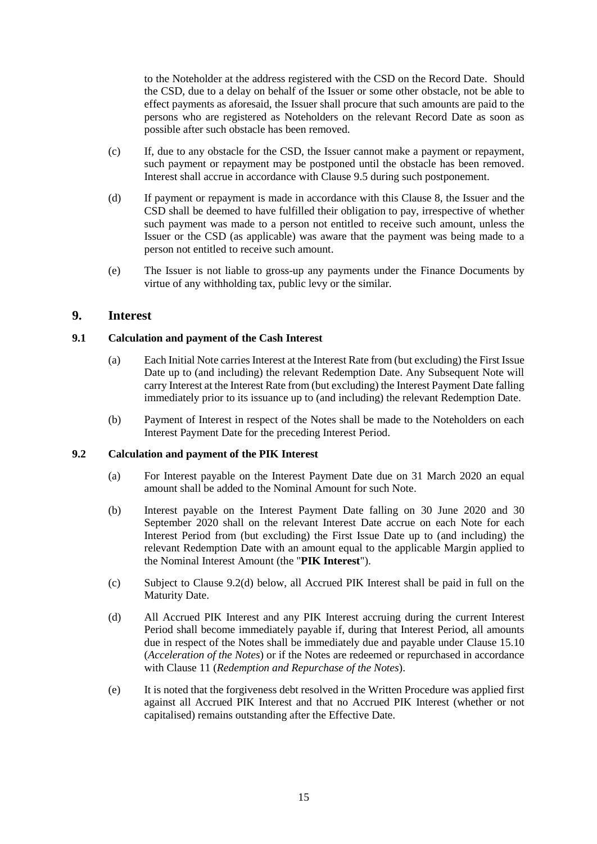to the Noteholder at the address registered with the CSD on the Record Date. Should the CSD, due to a delay on behalf of the Issuer or some other obstacle, not be able to effect payments as aforesaid, the Issuer shall procure that such amounts are paid to the persons who are registered as Noteholders on the relevant Record Date as soon as possible after such obstacle has been removed.

- (c) If, due to any obstacle for the CSD, the Issuer cannot make a payment or repayment, such payment or repayment may be postponed until the obstacle has been removed. Interest shall accrue in accordance with Clause [9.5](#page-17-1) during such postponement.
- (d) If payment or repayment is made in accordance with this Clause [8,](#page-15-1) the Issuer and the CSD shall be deemed to have fulfilled their obligation to pay, irrespective of whether such payment was made to a person not entitled to receive such amount, unless the Issuer or the CSD (as applicable) was aware that the payment was being made to a person not entitled to receive such amount.
- (e) The Issuer is not liable to gross-up any payments under the Finance Documents by virtue of any withholding tax, public levy or the similar.

# <span id="page-16-0"></span>**9. Interest**

# <span id="page-16-3"></span><span id="page-16-1"></span>**9.1 Calculation and payment of the Cash Interest**

- (a) Each Initial Note carries Interest at the Interest Rate from (but excluding) the First Issue Date up to (and including) the relevant Redemption Date. Any Subsequent Note will carry Interest at the Interest Rate from (but excluding) the Interest Payment Date falling immediately prior to its issuance up to (and including) the relevant Redemption Date.
- (b) Payment of Interest in respect of the Notes shall be made to the Noteholders on each Interest Payment Date for the preceding Interest Period.

#### <span id="page-16-2"></span>**9.2 Calculation and payment of the PIK Interest**

- (a) For Interest payable on the Interest Payment Date due on 31 March 2020 an equal amount shall be added to the Nominal Amount for such Note.
- (b) Interest payable on the Interest Payment Date falling on 30 June 2020 and 30 September 2020 shall on the relevant Interest Date accrue on each Note for each Interest Period from (but excluding) the First Issue Date up to (and including) the relevant Redemption Date with an amount equal to the applicable Margin applied to the Nominal Interest Amount (the "**PIK Interest**").
- (c) Subject to Clause [9.2\(d\)](#page-16-4) below, all Accrued PIK Interest shall be paid in full on the Maturity Date.
- <span id="page-16-4"></span>(d) All Accrued PIK Interest and any PIK Interest accruing during the current Interest Period shall become immediately payable if, during that Interest Period, all amounts due in respect of the Notes shall be immediately due and payable under Clause [15.10](#page-27-1) (*Acceleration of the Notes*) or if the Notes are redeemed or repurchased in accordance with Clause [11](#page-18-0) (*Redemption and Repurchase of the Notes*).
- (e) It is noted that the forgiveness debt resolved in the Written Procedure was applied first against all Accrued PIK Interest and that no Accrued PIK Interest (whether or not capitalised) remains outstanding after the Effective Date.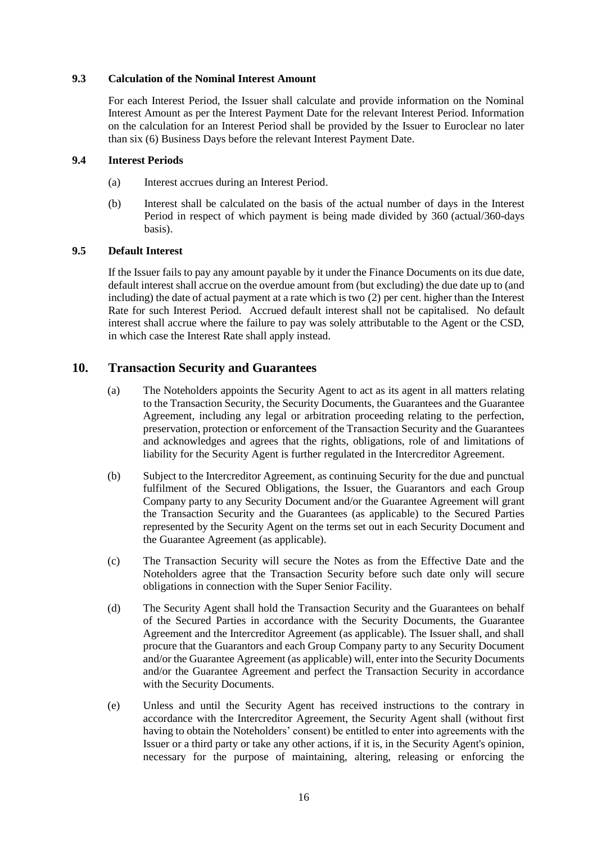#### **9.3 Calculation of the Nominal Interest Amount**

For each Interest Period, the Issuer shall calculate and provide information on the Nominal Interest Amount as per the Interest Payment Date for the relevant Interest Period. Information on the calculation for an Interest Period shall be provided by the Issuer to Euroclear no later than six (6) Business Days before the relevant Interest Payment Date.

#### **9.4 Interest Periods**

- (a) Interest accrues during an Interest Period.
- (b) Interest shall be calculated on the basis of the actual number of days in the Interest Period in respect of which payment is being made divided by 360 (actual/360-days basis).

#### <span id="page-17-1"></span>**9.5 Default Interest**

If the Issuer fails to pay any amount payable by it under the Finance Documents on its due date, default interest shall accrue on the overdue amount from (but excluding) the due date up to (and including) the date of actual payment at a rate which is two (2) per cent. higher than the Interest Rate for such Interest Period. Accrued default interest shall not be capitalised. No default interest shall accrue where the failure to pay was solely attributable to the Agent or the CSD, in which case the Interest Rate shall apply instead.

# <span id="page-17-0"></span>**10. Transaction Security and Guarantees**

- (a) The Noteholders appoints the Security Agent to act as its agent in all matters relating to the Transaction Security, the Security Documents, the Guarantees and the Guarantee Agreement, including any legal or arbitration proceeding relating to the perfection, preservation, protection or enforcement of the Transaction Security and the Guarantees and acknowledges and agrees that the rights, obligations, role of and limitations of liability for the Security Agent is further regulated in the Intercreditor Agreement.
- (b) Subject to the Intercreditor Agreement, as continuing Security for the due and punctual fulfilment of the Secured Obligations, the Issuer, the Guarantors and each Group Company party to any Security Document and/or the Guarantee Agreement will grant the Transaction Security and the Guarantees (as applicable) to the Secured Parties represented by the Security Agent on the terms set out in each Security Document and the Guarantee Agreement (as applicable).
- (c) The Transaction Security will secure the Notes as from the Effective Date and the Noteholders agree that the Transaction Security before such date only will secure obligations in connection with the Super Senior Facility.
- (d) The Security Agent shall hold the Transaction Security and the Guarantees on behalf of the Secured Parties in accordance with the Security Documents, the Guarantee Agreement and the Intercreditor Agreement (as applicable). The Issuer shall, and shall procure that the Guarantors and each Group Company party to any Security Document and/or the Guarantee Agreement (as applicable) will, enter into the Security Documents and/or the Guarantee Agreement and perfect the Transaction Security in accordance with the Security Documents.
- (e) Unless and until the Security Agent has received instructions to the contrary in accordance with the Intercreditor Agreement, the Security Agent shall (without first having to obtain the Noteholders' consent) be entitled to enter into agreements with the Issuer or a third party or take any other actions, if it is, in the Security Agent's opinion, necessary for the purpose of maintaining, altering, releasing or enforcing the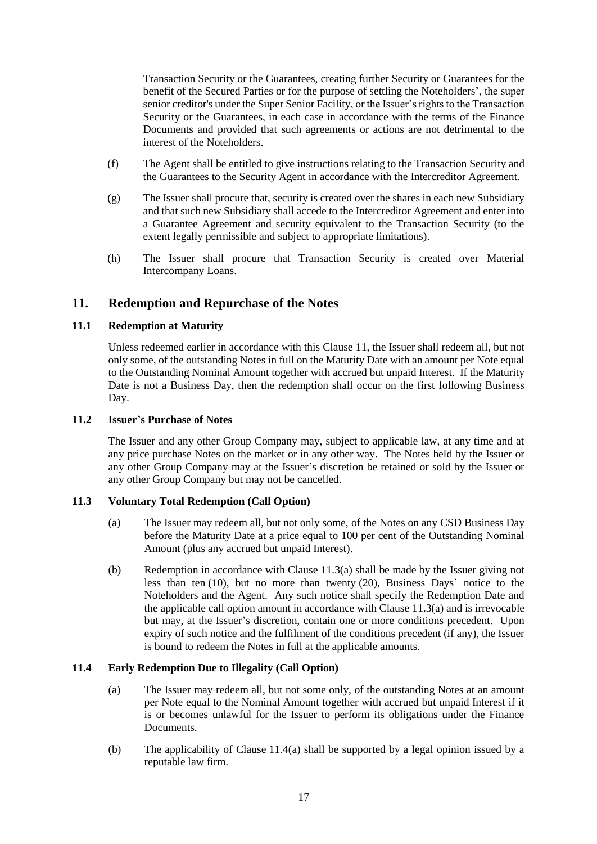Transaction Security or the Guarantees, creating further Security or Guarantees for the benefit of the Secured Parties or for the purpose of settling the Noteholders', the super senior creditor's under the Super Senior Facility, or the Issuer's rights to the Transaction Security or the Guarantees, in each case in accordance with the terms of the Finance Documents and provided that such agreements or actions are not detrimental to the interest of the Noteholders.

- (f) The Agent shall be entitled to give instructions relating to the Transaction Security and the Guarantees to the Security Agent in accordance with the Intercreditor Agreement.
- (g) The Issuer shall procure that, security is created over the shares in each new Subsidiary and that such new Subsidiary shall accede to the Intercreditor Agreement and enter into a Guarantee Agreement and security equivalent to the Transaction Security (to the extent legally permissible and subject to appropriate limitations).
- (h) The Issuer shall procure that Transaction Security is created over Material Intercompany Loans.

# <span id="page-18-0"></span>**11. Redemption and Repurchase of the Notes**

#### **11.1 Redemption at Maturity**

Unless redeemed earlier in accordance with this Clause [11,](#page-18-0) the Issuer shall redeem all, but not only some, of the outstanding Notes in full on the Maturity Date with an amount per Note equal to the Outstanding Nominal Amount together with accrued but unpaid Interest. If the Maturity Date is not a Business Day, then the redemption shall occur on the first following Business Day.

#### **11.2 Issuer's Purchase of Notes**

The Issuer and any other Group Company may, subject to applicable law, at any time and at any price purchase Notes on the market or in any other way. The Notes held by the Issuer or any other Group Company may at the Issuer's discretion be retained or sold by the Issuer or any other Group Company but may not be cancelled.

#### <span id="page-18-3"></span><span id="page-18-1"></span>**11.3 Voluntary Total Redemption (Call Option)**

- (a) The Issuer may redeem all, but not only some, of the Notes on any CSD Business Day before the Maturity Date at a price equal to 100 per cent of the Outstanding Nominal Amount (plus any accrued but unpaid Interest).
- (b) Redemption in accordance with Clause [11.3\(a\)](#page-18-1) shall be made by the Issuer giving not less than ten (10), but no more than twenty (20), Business Days' notice to the Noteholders and the Agent. Any such notice shall specify the Redemption Date and the applicable call option amount in accordance with Clause [11.3\(a\)](#page-18-1) and is irrevocable but may, at the Issuer's discretion, contain one or more conditions precedent. Upon expiry of such notice and the fulfilment of the conditions precedent (if any), the Issuer is bound to redeem the Notes in full at the applicable amounts.

#### <span id="page-18-4"></span><span id="page-18-2"></span>**11.4 Early Redemption Due to Illegality (Call Option)**

- (a) The Issuer may redeem all, but not some only, of the outstanding Notes at an amount per Note equal to the Nominal Amount together with accrued but unpaid Interest if it is or becomes unlawful for the Issuer to perform its obligations under the Finance Documents.
- (b) The applicability of Clause [11.4\(a\)](#page-18-2) shall be supported by a legal opinion issued by a reputable law firm.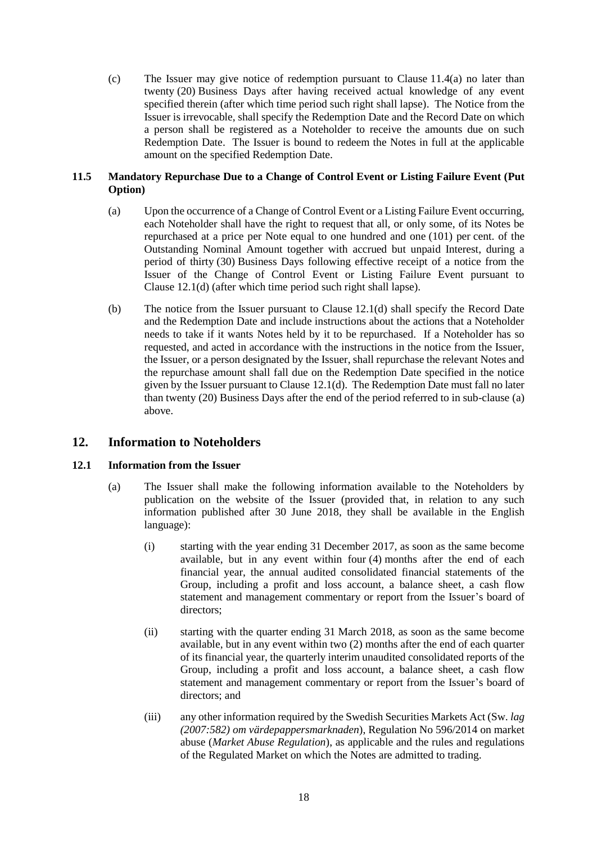(c) The Issuer may give notice of redemption pursuant to Clause [11.4\(a\)](#page-18-2) no later than twenty (20) Business Days after having received actual knowledge of any event specified therein (after which time period such right shall lapse). The Notice from the Issuer is irrevocable, shall specify the Redemption Date and the Record Date on which a person shall be registered as a Noteholder to receive the amounts due on such Redemption Date. The Issuer is bound to redeem the Notes in full at the applicable amount on the specified Redemption Date.

# <span id="page-19-5"></span><span id="page-19-2"></span>**11.5 Mandatory Repurchase Due to a Change of Control Event or Listing Failure Event (Put Option)**

- (a) Upon the occurrence of a Change of Control Event or a Listing Failure Event occurring, each Noteholder shall have the right to request that all, or only some, of its Notes be repurchased at a price per Note equal to one hundred and one (101) per cent. of the Outstanding Nominal Amount together with accrued but unpaid Interest, during a period of thirty (30) Business Days following effective receipt of a notice from the Issuer of the Change of Control Event or Listing Failure Event pursuant to Clause [12.1\(d\)](#page-20-0) (after which time period such right shall lapse).
- (b) The notice from the Issuer pursuant to Clause [12.1\(d\)](#page-20-0) shall specify the Record Date and the Redemption Date and include instructions about the actions that a Noteholder needs to take if it wants Notes held by it to be repurchased. If a Noteholder has so requested, and acted in accordance with the instructions in the notice from the Issuer, the Issuer, or a person designated by the Issuer, shall repurchase the relevant Notes and the repurchase amount shall fall due on the Redemption Date specified in the notice given by the Issuer pursuant to Clause  $12.1(d)$ . The Redemption Date must fall no later than twenty (20) Business Days after the end of the period referred to in sub-clause [\(a\)](#page-19-2) above.

# <span id="page-19-0"></span>**12. Information to Noteholders**

#### <span id="page-19-3"></span><span id="page-19-1"></span>**12.1 Information from the Issuer**

- <span id="page-19-4"></span>(a) The Issuer shall make the following information available to the Noteholders by publication on the website of the Issuer (provided that, in relation to any such information published after 30 June 2018, they shall be available in the English language):
	- (i) starting with the year ending 31 December 2017, as soon as the same become available, but in any event within four (4) months after the end of each financial year, the annual audited consolidated financial statements of the Group, including a profit and loss account, a balance sheet, a cash flow statement and management commentary or report from the Issuer's board of directors;
	- (ii) starting with the quarter ending 31 March 2018, as soon as the same become available, but in any event within two (2) months after the end of each quarter of its financial year, the quarterly interim unaudited consolidated reports of the Group, including a profit and loss account, a balance sheet, a cash flow statement and management commentary or report from the Issuer's board of directors; and
	- (iii) any other information required by the Swedish Securities Markets Act (Sw. *lag (2007:582) om värdepappersmarknaden*), Regulation No 596/2014 on market abuse (*Market Abuse Regulation*), as applicable and the rules and regulations of the Regulated Market on which the Notes are admitted to trading.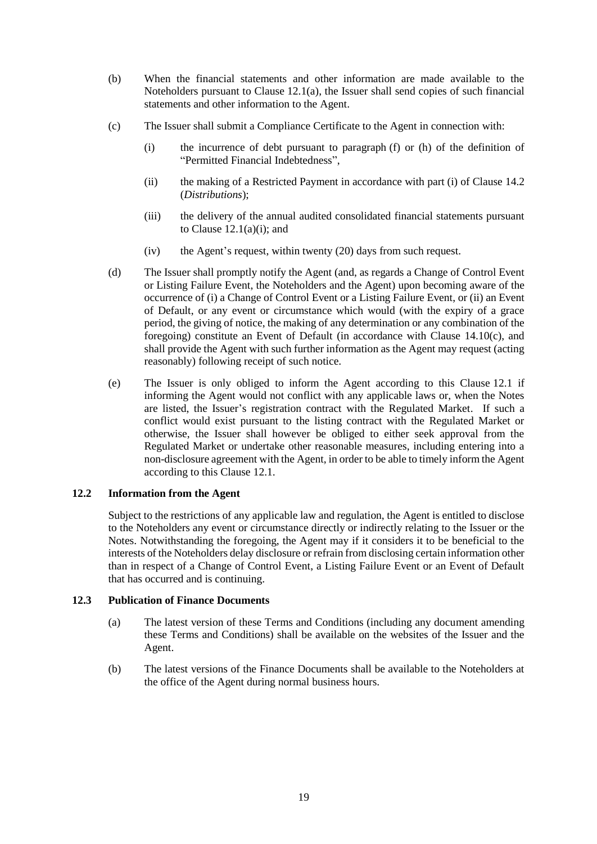- (b) When the financial statements and other information are made available to the Noteholders pursuant to Clause [12.1\(a\),](#page-19-3) the Issuer shall send copies of such financial statements and other information to the Agent.
- (c) The Issuer shall submit a Compliance Certificate to the Agent in connection with:
	- (i) the incurrence of debt pursuant to paragraph [\(f\)](#page-8-4) or [\(h\)](#page-8-3) of the definition of "Permitted Financial Indebtedness",
	- (ii) the making of a Restricted Payment in accordance with part (i) of Clause [14.2](#page-22-1) (*Distributions*);
	- (iii) the delivery of the annual audited consolidated financial statements pursuant to Clause  $12.1(a)(i)$ ; and
	- (iv) the Agent's request, within twenty (20) days from such request.
- <span id="page-20-0"></span>(d) The Issuer shall promptly notify the Agent (and, as regards a Change of Control Event or Listing Failure Event, the Noteholders and the Agent) upon becoming aware of the occurrence of (i) a Change of Control Event or a Listing Failure Event, or (ii) an Event of Default, or any event or circumstance which would (with the expiry of a grace period, the giving of notice, the making of any determination or any combination of the foregoing) constitute an Event of Default (in accordance with Clause 14.10(c), and shall provide the Agent with such further information as the Agent may request (acting reasonably) following receipt of such notice.
- (e) The Issuer is only obliged to inform the Agent according to this Clause [12.1](#page-19-1) if informing the Agent would not conflict with any applicable laws or, when the Notes are listed, the Issuer's registration contract with the Regulated Market. If such a conflict would exist pursuant to the listing contract with the Regulated Market or otherwise, the Issuer shall however be obliged to either seek approval from the Regulated Market or undertake other reasonable measures, including entering into a non-disclosure agreement with the Agent, in order to be able to timely inform the Agent according to this Clause [12.1.](#page-19-1)

# **12.2 Information from the Agent**

Subject to the restrictions of any applicable law and regulation, the Agent is entitled to disclose to the Noteholders any event or circumstance directly or indirectly relating to the Issuer or the Notes. Notwithstanding the foregoing, the Agent may if it considers it to be beneficial to the interests of the Noteholders delay disclosure or refrain from disclosing certain information other than in respect of a Change of Control Event, a Listing Failure Event or an Event of Default that has occurred and is continuing.

#### <span id="page-20-1"></span>**12.3 Publication of Finance Documents**

- (a) The latest version of these Terms and Conditions (including any document amending these Terms and Conditions) shall be available on the websites of the Issuer and the Agent.
- (b) The latest versions of the Finance Documents shall be available to the Noteholders at the office of the Agent during normal business hours.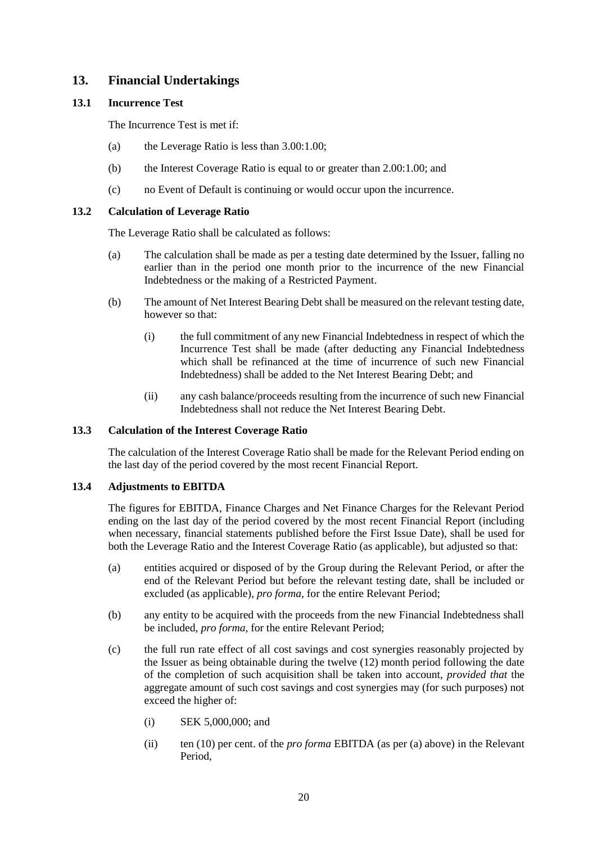# <span id="page-21-0"></span>**13. Financial Undertakings**

#### <span id="page-21-1"></span>**13.1 Incurrence Test**

The Incurrence Test is met if:

- (a) the Leverage Ratio is less than 3.00:1.00;
- (b) the Interest Coverage Ratio is equal to or greater than 2.00:1.00; and
- (c) no Event of Default is continuing or would occur upon the incurrence.

#### **13.2 Calculation of Leverage Ratio**

The Leverage Ratio shall be calculated as follows:

- (a) The calculation shall be made as per a testing date determined by the Issuer, falling no earlier than in the period one month prior to the incurrence of the new Financial Indebtedness or the making of a Restricted Payment.
- (b) The amount of Net Interest Bearing Debt shall be measured on the relevant testing date, however so that:
	- (i) the full commitment of any new Financial Indebtedness in respect of which the Incurrence Test shall be made (after deducting any Financial Indebtedness which shall be refinanced at the time of incurrence of such new Financial Indebtedness) shall be added to the Net Interest Bearing Debt; and
	- (ii) any cash balance/proceeds resulting from the incurrence of such new Financial Indebtedness shall not reduce the Net Interest Bearing Debt.

# **13.3 Calculation of the Interest Coverage Ratio**

The calculation of the Interest Coverage Ratio shall be made for the Relevant Period ending on the last day of the period covered by the most recent Financial Report.

# **13.4 Adjustments to EBITDA**

The figures for EBITDA, Finance Charges and Net Finance Charges for the Relevant Period ending on the last day of the period covered by the most recent Financial Report (including when necessary, financial statements published before the First Issue Date), shall be used for both the Leverage Ratio and the Interest Coverage Ratio (as applicable), but adjusted so that:

- <span id="page-21-2"></span>(a) entities acquired or disposed of by the Group during the Relevant Period, or after the end of the Relevant Period but before the relevant testing date, shall be included or excluded (as applicable), *pro forma*, for the entire Relevant Period;
- (b) any entity to be acquired with the proceeds from the new Financial Indebtedness shall be included, *pro forma*, for the entire Relevant Period;
- (c) the full run rate effect of all cost savings and cost synergies reasonably projected by the Issuer as being obtainable during the twelve (12) month period following the date of the completion of such acquisition shall be taken into account, *provided that* the aggregate amount of such cost savings and cost synergies may (for such purposes) not exceed the higher of:
	- (i) SEK 5,000,000; and
	- (ii) ten (10) per cent. of the *pro forma* EBITDA (as per [\(a\)](#page-21-2) above) in the Relevant Period,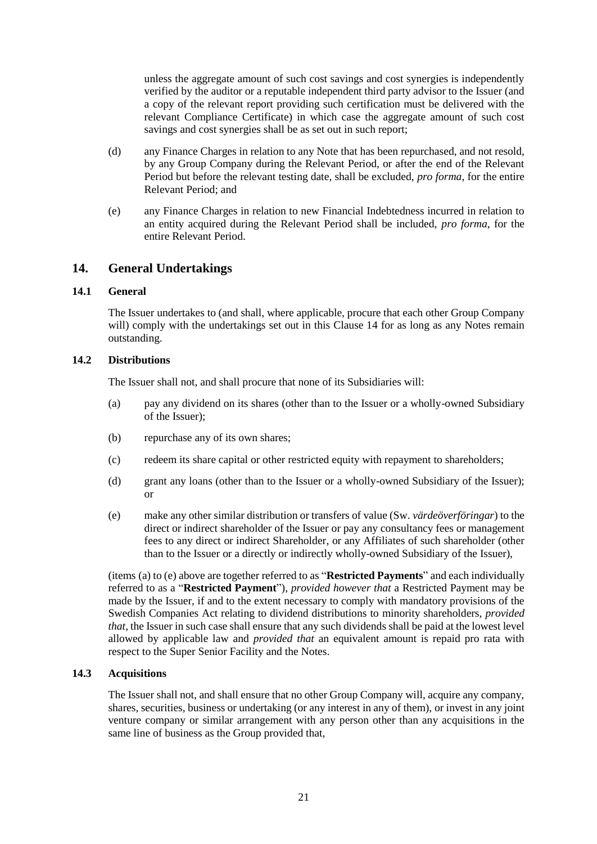unless the aggregate amount of such cost savings and cost synergies is independently verified by the auditor or a reputable independent third party advisor to the Issuer (and a copy of the relevant report providing such certification must be delivered with the relevant Compliance Certificate) in which case the aggregate amount of such cost savings and cost synergies shall be as set out in such report;

- (d) any Finance Charges in relation to any Note that has been repurchased, and not resold, by any Group Company during the Relevant Period, or after the end of the Relevant Period but before the relevant testing date, shall be excluded, *pro forma*, for the entire Relevant Period; and
- (e) any Finance Charges in relation to new Financial Indebtedness incurred in relation to an entity acquired during the Relevant Period shall be included, *pro forma*, for the entire Relevant Period.

# <span id="page-22-0"></span>**14. General Undertakings**

## **14.1 General**

The Issuer undertakes to (and shall, where applicable, procure that each other Group Company will) comply with the undertakings set out in this Clause [14](#page-22-0) for as long as any Notes remain outstanding.

#### <span id="page-22-1"></span>**14.2 Distributions**

The Issuer shall not, and shall procure that none of its Subsidiaries will:

- <span id="page-22-2"></span>(a) pay any dividend on its shares (other than to the Issuer or a wholly-owned Subsidiary of the Issuer);
- (b) repurchase any of its own shares;
- (c) redeem its share capital or other restricted equity with repayment to shareholders;
- (d) grant any loans (other than to the Issuer or a wholly-owned Subsidiary of the Issuer); or
- <span id="page-22-3"></span>(e) make any other similar distribution or transfers of value (Sw. *värdeöverföringar*) to the direct or indirect shareholder of the Issuer or pay any consultancy fees or management fees to any direct or indirect Shareholder, or any Affiliates of such shareholder (other than to the Issuer or a directly or indirectly wholly-owned Subsidiary of the Issuer),

(items [\(a\)](#page-22-2) to [\(e\)](#page-22-3) above are together referred to as "**Restricted Payments**" and each individually referred to as a "**Restricted Payment**"), *provided however that* a Restricted Payment may be made by the Issuer, if and to the extent necessary to comply with mandatory provisions of the Swedish Companies Act relating to dividend distributions to minority shareholders, *provided that*, the Issuer in such case shall ensure that any such dividends shall be paid at the lowest level allowed by applicable law and *provided that* an equivalent amount is repaid pro rata with respect to the Super Senior Facility and the Notes.

#### **14.3 Acquisitions**

The Issuer shall not, and shall ensure that no other Group Company will, acquire any company, shares, securities, business or undertaking (or any interest in any of them), or invest in any joint venture company or similar arrangement with any person other than any acquisitions in the same line of business as the Group provided that,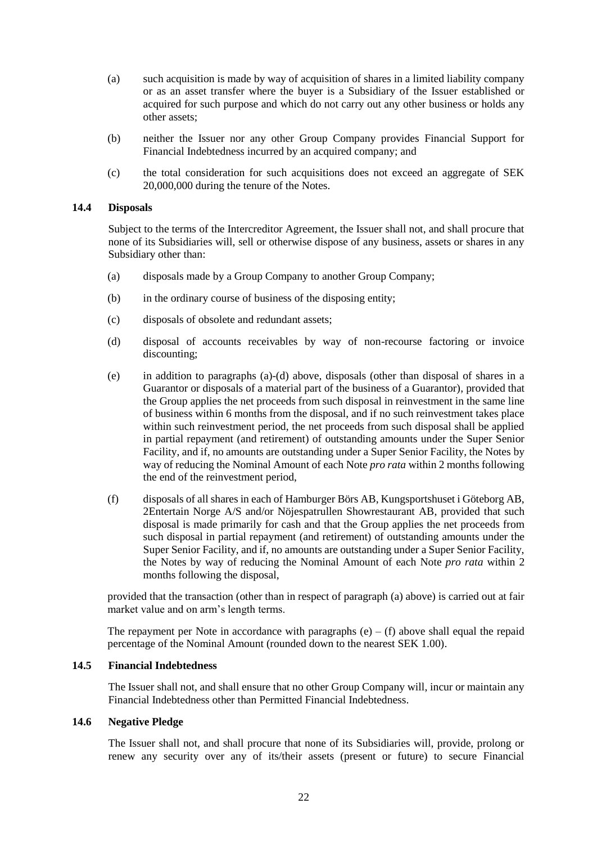- (a) such acquisition is made by way of acquisition of shares in a limited liability company or as an asset transfer where the buyer is a Subsidiary of the Issuer established or acquired for such purpose and which do not carry out any other business or holds any other assets;
- (b) neither the Issuer nor any other Group Company provides Financial Support for Financial Indebtedness incurred by an acquired company; and
- (c) the total consideration for such acquisitions does not exceed an aggregate of SEK 20,000,000 during the tenure of the Notes.

#### **14.4 Disposals**

Subject to the terms of the Intercreditor Agreement, the Issuer shall not, and shall procure that none of its Subsidiaries will, sell or otherwise dispose of any business, assets or shares in any Subsidiary other than:

- (a) disposals made by a Group Company to another Group Company;
- (b) in the ordinary course of business of the disposing entity;
- (c) disposals of obsolete and redundant assets;
- <span id="page-23-0"></span>(d) disposal of accounts receivables by way of non-recourse factoring or invoice discounting;
- (e) in addition to paragraphs (a)[-\(d\)](#page-23-0) above, disposals (other than disposal of shares in a Guarantor or disposals of a material part of the business of a Guarantor), provided that the Group applies the net proceeds from such disposal in reinvestment in the same line of business within 6 months from the disposal, and if no such reinvestment takes place within such reinvestment period, the net proceeds from such disposal shall be applied in partial repayment (and retirement) of outstanding amounts under the Super Senior Facility, and if, no amounts are outstanding under a Super Senior Facility, the Notes by way of reducing the Nominal Amount of each Note *pro rata* within 2 months following the end of the reinvestment period,
- (f) disposals of all shares in each of Hamburger Börs AB, Kungsportshuset i Göteborg AB, 2Entertain Norge A/S and/or Nöjespatrullen Showrestaurant AB, provided that such disposal is made primarily for cash and that the Group applies the net proceeds from such disposal in partial repayment (and retirement) of outstanding amounts under the Super Senior Facility, and if, no amounts are outstanding under a Super Senior Facility, the Notes by way of reducing the Nominal Amount of each Note *pro rata* within 2 months following the disposal,

provided that the transaction (other than in respect of paragraph (a) above) is carried out at fair market value and on arm's length terms.

The repayment per Note in accordance with paragraphs  $(e) - (f)$  above shall equal the repaid percentage of the Nominal Amount (rounded down to the nearest SEK 1.00).

# **14.5 Financial Indebtedness**

The Issuer shall not, and shall ensure that no other Group Company will, incur or maintain any Financial Indebtedness other than Permitted Financial Indebtedness.

#### **14.6 Negative Pledge**

The Issuer shall not, and shall procure that none of its Subsidiaries will, provide, prolong or renew any security over any of its/their assets (present or future) to secure Financial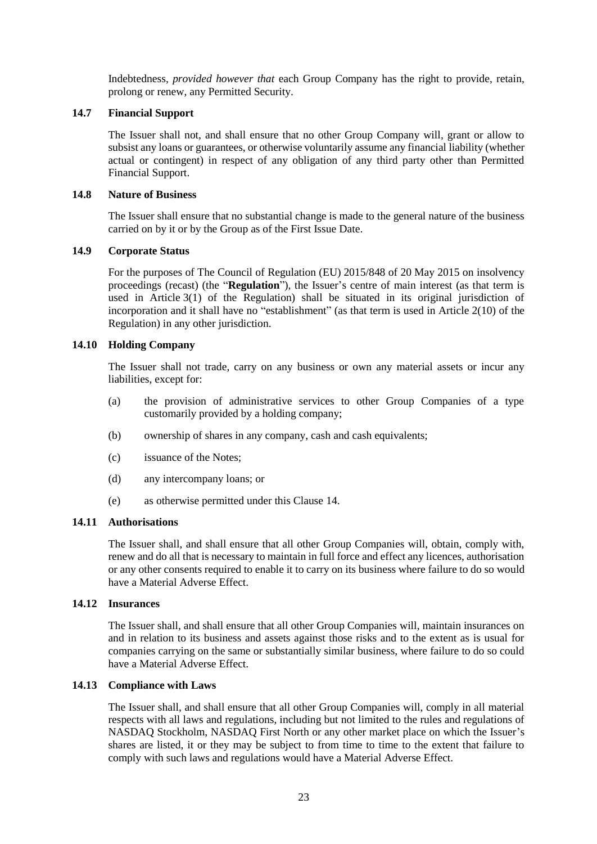Indebtedness, *provided however that* each Group Company has the right to provide, retain, prolong or renew, any Permitted Security.

#### **14.7 Financial Support**

The Issuer shall not, and shall ensure that no other Group Company will, grant or allow to subsist any loans or guarantees, or otherwise voluntarily assume any financial liability (whether actual or contingent) in respect of any obligation of any third party other than Permitted Financial Support.

#### **14.8 Nature of Business**

The Issuer shall ensure that no substantial change is made to the general nature of the business carried on by it or by the Group as of the First Issue Date.

#### **14.9 Corporate Status**

For the purposes of The Council of Regulation (EU) 2015/848 of 20 May 2015 on insolvency proceedings (recast) (the "**Regulation**"), the Issuer's centre of main interest (as that term is used in Article 3(1) of the Regulation) shall be situated in its original jurisdiction of incorporation and it shall have no "establishment" (as that term is used in Article 2(10) of the Regulation) in any other jurisdiction.

#### **14.10 Holding Company**

The Issuer shall not trade, carry on any business or own any material assets or incur any liabilities, except for:

- (a) the provision of administrative services to other Group Companies of a type customarily provided by a holding company;
- (b) ownership of shares in any company, cash and cash equivalents;
- (c) issuance of the Notes;
- (d) any intercompany loans; or
- (e) as otherwise permitted under this Clause [14.](#page-22-0)

#### **14.11 Authorisations**

The Issuer shall, and shall ensure that all other Group Companies will, obtain, comply with, renew and do all that is necessary to maintain in full force and effect any licences, authorisation or any other consents required to enable it to carry on its business where failure to do so would have a Material Adverse Effect.

#### **14.12 Insurances**

The Issuer shall, and shall ensure that all other Group Companies will, maintain insurances on and in relation to its business and assets against those risks and to the extent as is usual for companies carrying on the same or substantially similar business, where failure to do so could have a Material Adverse Effect.

#### **14.13 Compliance with Laws**

The Issuer shall, and shall ensure that all other Group Companies will, comply in all material respects with all laws and regulations, including but not limited to the rules and regulations of NASDAQ Stockholm, NASDAQ First North or any other market place on which the Issuer's shares are listed, it or they may be subject to from time to time to the extent that failure to comply with such laws and regulations would have a Material Adverse Effect.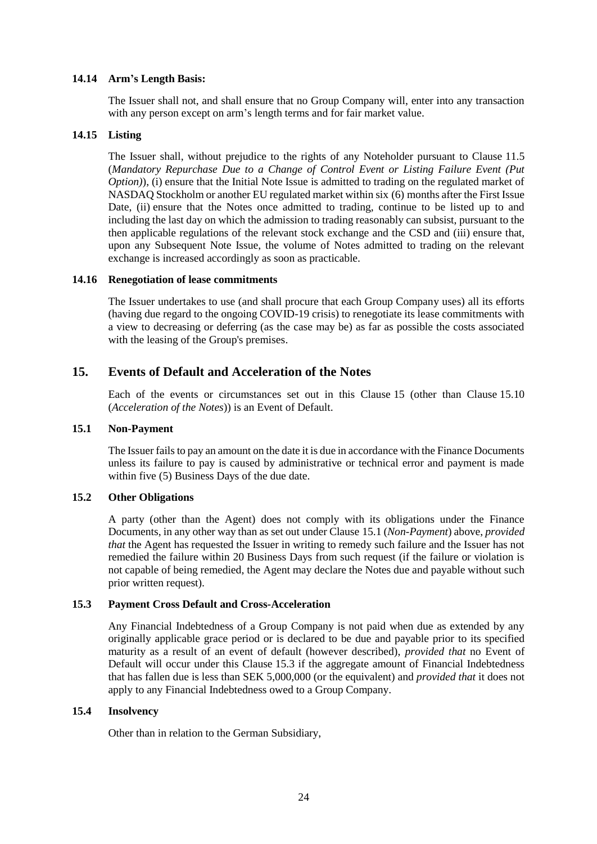#### **14.14 Arm's Length Basis:**

The Issuer shall not, and shall ensure that no Group Company will, enter into any transaction with any person except on arm's length terms and for fair market value.

#### **14.15 Listing**

The Issuer shall, without prejudice to the rights of any Noteholder pursuant to Clause [11.5](#page-19-5) (*Mandatory Repurchase Due to a Change of Control Event or Listing Failure Event (Put Option*)), (i) ensure that the Initial Note Issue is admitted to trading on the regulated market of NASDAQ Stockholm or another EU regulated market within six (6) months after the First Issue Date, (ii) ensure that the Notes once admitted to trading, continue to be listed up to and including the last day on which the admission to trading reasonably can subsist, pursuant to the then applicable regulations of the relevant stock exchange and the CSD and (iii) ensure that, upon any Subsequent Note Issue, the volume of Notes admitted to trading on the relevant exchange is increased accordingly as soon as practicable.

#### **14.16 Renegotiation of lease commitments**

The Issuer undertakes to use (and shall procure that each Group Company uses) all its efforts (having due regard to the ongoing COVID-19 crisis) to renegotiate its lease commitments with a view to decreasing or deferring (as the case may be) as far as possible the costs associated with the leasing of the Group's premises.

# <span id="page-25-0"></span>**15. Events of Default and Acceleration of the Notes**

Each of the events or circumstances set out in this Clause [15](#page-25-0) (other than Clause [15.10](#page-27-1) (*Acceleration of the Notes*)) is an Event of Default.

#### <span id="page-25-1"></span>**15.1 Non-Payment**

The Issuer fails to pay an amount on the date it is due in accordance with the Finance Documents unless its failure to pay is caused by administrative or technical error and payment is made within five (5) Business Days of the due date.

#### **15.2 Other Obligations**

A party (other than the Agent) does not comply with its obligations under the Finance Documents, in any other way than as set out under Clause [15.1](#page-25-1) (*Non-Payment*) above, *provided that* the Agent has requested the Issuer in writing to remedy such failure and the Issuer has not remedied the failure within 20 Business Days from such request (if the failure or violation is not capable of being remedied, the Agent may declare the Notes due and payable without such prior written request).

#### <span id="page-25-2"></span>**15.3 Payment Cross Default and Cross-Acceleration**

Any Financial Indebtedness of a Group Company is not paid when due as extended by any originally applicable grace period or is declared to be due and payable prior to its specified maturity as a result of an event of default (however described), *provided that* no Event of Default will occur under this Clause [15.3](#page-25-2) if the aggregate amount of Financial Indebtedness that has fallen due is less than SEK 5,000,000 (or the equivalent) and *provided that* it does not apply to any Financial Indebtedness owed to a Group Company.

#### **15.4 Insolvency**

Other than in relation to the German Subsidiary,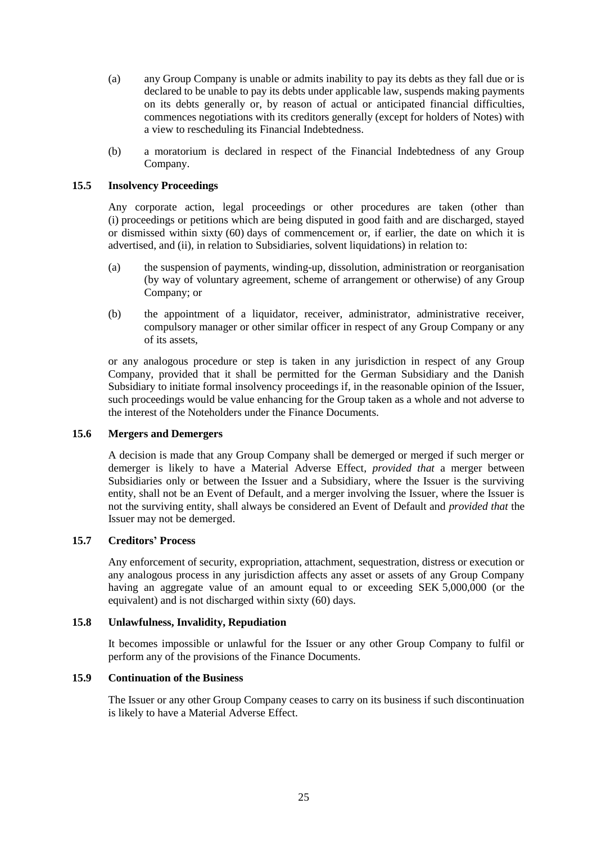- (a) any Group Company is unable or admits inability to pay its debts as they fall due or is declared to be unable to pay its debts under applicable law, suspends making payments on its debts generally or, by reason of actual or anticipated financial difficulties, commences negotiations with its creditors generally (except for holders of Notes) with a view to rescheduling its Financial Indebtedness.
- (b) a moratorium is declared in respect of the Financial Indebtedness of any Group Company.

#### **15.5 Insolvency Proceedings**

Any corporate action, legal proceedings or other procedures are taken (other than (i) proceedings or petitions which are being disputed in good faith and are discharged, stayed or dismissed within sixty (60) days of commencement or, if earlier, the date on which it is advertised, and (ii), in relation to Subsidiaries, solvent liquidations) in relation to:

- (a) the suspension of payments, winding-up, dissolution, administration or reorganisation (by way of voluntary agreement, scheme of arrangement or otherwise) of any Group Company; or
- (b) the appointment of a liquidator, receiver, administrator, administrative receiver, compulsory manager or other similar officer in respect of any Group Company or any of its assets,

or any analogous procedure or step is taken in any jurisdiction in respect of any Group Company, provided that it shall be permitted for the German Subsidiary and the Danish Subsidiary to initiate formal insolvency proceedings if, in the reasonable opinion of the Issuer, such proceedings would be value enhancing for the Group taken as a whole and not adverse to the interest of the Noteholders under the Finance Documents.

#### **15.6 Mergers and Demergers**

A decision is made that any Group Company shall be demerged or merged if such merger or demerger is likely to have a Material Adverse Effect, *provided that* a merger between Subsidiaries only or between the Issuer and a Subsidiary, where the Issuer is the surviving entity, shall not be an Event of Default, and a merger involving the Issuer, where the Issuer is not the surviving entity, shall always be considered an Event of Default and *provided that* the Issuer may not be demerged.

#### **15.7 Creditors' Process**

Any enforcement of security, expropriation, attachment, sequestration, distress or execution or any analogous process in any jurisdiction affects any asset or assets of any Group Company having an aggregate value of an amount equal to or exceeding SEK 5,000,000 (or the equivalent) and is not discharged within sixty (60) days.

#### **15.8 Unlawfulness, Invalidity, Repudiation**

It becomes impossible or unlawful for the Issuer or any other Group Company to fulfil or perform any of the provisions of the Finance Documents.

#### <span id="page-26-0"></span>**15.9 Continuation of the Business**

The Issuer or any other Group Company ceases to carry on its business if such discontinuation is likely to have a Material Adverse Effect.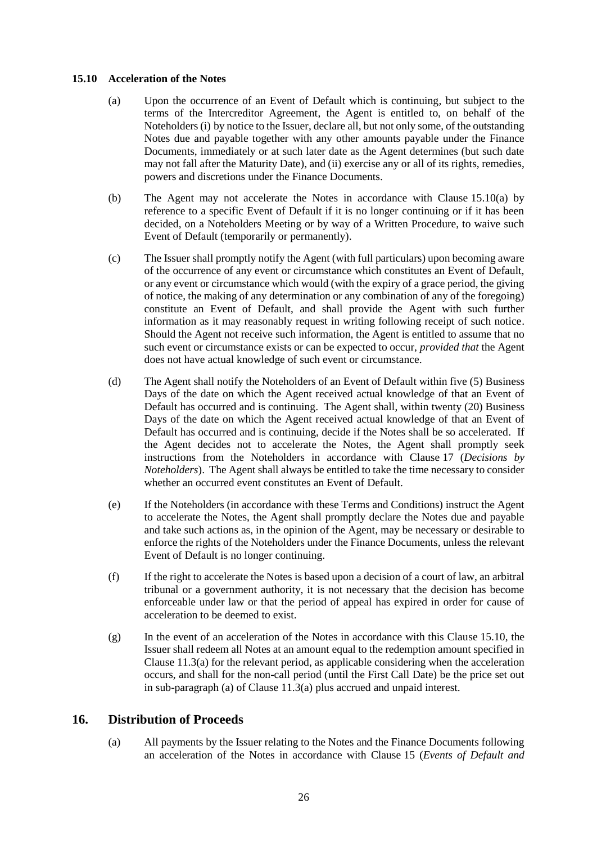#### <span id="page-27-2"></span><span id="page-27-1"></span>**15.10 Acceleration of the Notes**

- (a) Upon the occurrence of an Event of Default which is continuing, but subject to the terms of the Intercreditor Agreement, the Agent is entitled to, on behalf of the Noteholders (i) by notice to the Issuer, declare all, but not only some, of the outstanding Notes due and payable together with any other amounts payable under the Finance Documents, immediately or at such later date as the Agent determines (but such date may not fall after the Maturity Date), and (ii) exercise any or all of its rights, remedies, powers and discretions under the Finance Documents.
- (b) The Agent may not accelerate the Notes in accordance with Clause [15.10\(a\)](#page-27-2) by reference to a specific Event of Default if it is no longer continuing or if it has been decided, on a Noteholders Meeting or by way of a Written Procedure, to waive such Event of Default (temporarily or permanently).
- (c) The Issuer shall promptly notify the Agent (with full particulars) upon becoming aware of the occurrence of any event or circumstance which constitutes an Event of Default, or any event or circumstance which would (with the expiry of a grace period, the giving of notice, the making of any determination or any combination of any of the foregoing) constitute an Event of Default, and shall provide the Agent with such further information as it may reasonably request in writing following receipt of such notice. Should the Agent not receive such information, the Agent is entitled to assume that no such event or circumstance exists or can be expected to occur, *provided that* the Agent does not have actual knowledge of such event or circumstance.
- (d) The Agent shall notify the Noteholders of an Event of Default within five (5) Business Days of the date on which the Agent received actual knowledge of that an Event of Default has occurred and is continuing. The Agent shall, within twenty (20) Business Days of the date on which the Agent received actual knowledge of that an Event of Default has occurred and is continuing, decide if the Notes shall be so accelerated. If the Agent decides not to accelerate the Notes, the Agent shall promptly seek instructions from the Noteholders in accordance with Clause [17](#page-29-0) (*Decisions by Noteholders*). The Agent shall always be entitled to take the time necessary to consider whether an occurred event constitutes an Event of Default.
- (e) If the Noteholders (in accordance with these Terms and Conditions) instruct the Agent to accelerate the Notes, the Agent shall promptly declare the Notes due and payable and take such actions as, in the opinion of the Agent, may be necessary or desirable to enforce the rights of the Noteholders under the Finance Documents, unless the relevant Event of Default is no longer continuing.
- (f) If the right to accelerate the Notes is based upon a decision of a court of law, an arbitral tribunal or a government authority, it is not necessary that the decision has become enforceable under law or that the period of appeal has expired in order for cause of acceleration to be deemed to exist.
- (g) In the event of an acceleration of the Notes in accordance with this Clause [15.10,](#page-27-1) the Issuer shall redeem all Notes at an amount equal to the redemption amount specified in Clause  $11.3(a)$  for the relevant period, as applicable considering when the acceleration occurs, and shall for the non-call period (until the First Call Date) be the price set out in sub-paragraph (a) of Clause [11.3\(a\)](#page-18-1) plus accrued and unpaid interest.

# <span id="page-27-0"></span>**16. Distribution of Proceeds**

(a) All payments by the Issuer relating to the Notes and the Finance Documents following an acceleration of the Notes in accordance with Clause [15](#page-25-0) (*Events of Default and*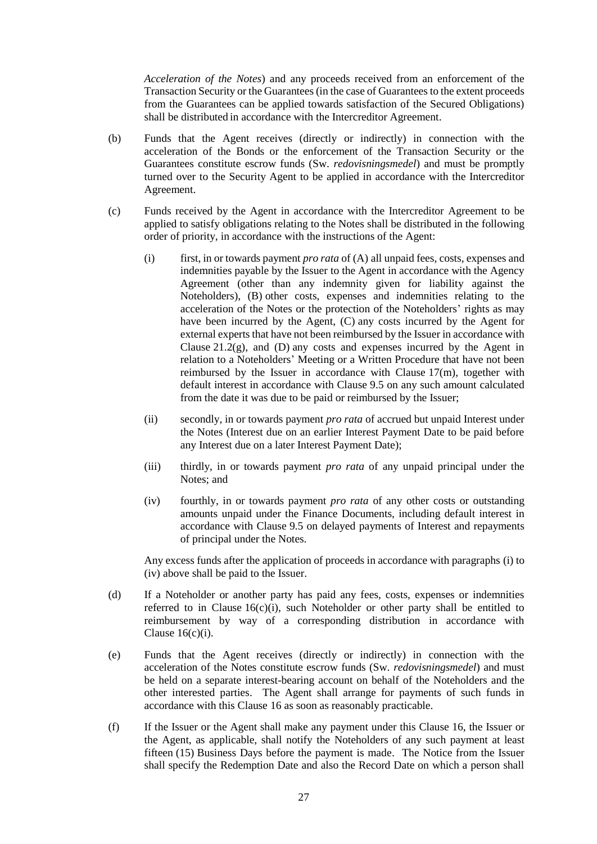*Acceleration of the Notes*) and any proceeds received from an enforcement of the Transaction Security or the Guarantees (in the case of Guarantees to the extent proceeds from the Guarantees can be applied towards satisfaction of the Secured Obligations) shall be distributed in accordance with the Intercreditor Agreement.

- (b) Funds that the Agent receives (directly or indirectly) in connection with the acceleration of the Bonds or the enforcement of the Transaction Security or the Guarantees constitute escrow funds (Sw. *redovisningsmedel*) and must be promptly turned over to the Security Agent to be applied in accordance with the Intercreditor Agreement.
- <span id="page-28-0"></span>(c) Funds received by the Agent in accordance with the Intercreditor Agreement to be applied to satisfy obligations relating to the Notes shall be distributed in the following order of priority, in accordance with the instructions of the Agent:
	- (i) first, in or towards payment *pro rata* of (A) all unpaid fees, costs, expenses and indemnities payable by the Issuer to the Agent in accordance with the Agency Agreement (other than any indemnity given for liability against the Noteholders), (B) other costs, expenses and indemnities relating to the acceleration of the Notes or the protection of the Noteholders' rights as may have been incurred by the Agent, (C) any costs incurred by the Agent for external experts that have not been reimbursed by the Issuer in accordance with Clause  $21.2(g)$ , and (D) any costs and expenses incurred by the Agent in relation to a Noteholders' Meeting or a Written Procedure that have not been reimbursed by the Issuer in accordance with Clause [17\(m\),](#page-31-1) together with default interest in accordance with Clause [9.5](#page-17-1) on any such amount calculated from the date it was due to be paid or reimbursed by the Issuer;
	- (ii) secondly, in or towards payment *pro rata* of accrued but unpaid Interest under the Notes (Interest due on an earlier Interest Payment Date to be paid before any Interest due on a later Interest Payment Date);
	- (iii) thirdly, in or towards payment *pro rata* of any unpaid principal under the Notes: and
	- (iv) fourthly, in or towards payment *pro rata* of any other costs or outstanding amounts unpaid under the Finance Documents, including default interest in accordance with Clause [9.5](#page-17-1) on delayed payments of Interest and repayments of principal under the Notes.

<span id="page-28-1"></span>Any excess funds after the application of proceeds in accordance with paragraphs [\(i\)](#page-28-0) to [\(iv\)](#page-28-1) above shall be paid to the Issuer.

- (d) If a Noteholder or another party has paid any fees, costs, expenses or indemnities referred to in Clause  $16(c)(i)$ , such Noteholder or other party shall be entitled to reimbursement by way of a corresponding distribution in accordance with Clause  $16(c)(i)$ .
- (e) Funds that the Agent receives (directly or indirectly) in connection with the acceleration of the Notes constitute escrow funds (Sw. *redovisningsmedel*) and must be held on a separate interest-bearing account on behalf of the Noteholders and the other interested parties. The Agent shall arrange for payments of such funds in accordance with this Clause [16](#page-27-0) as soon as reasonably practicable.
- (f) If the Issuer or the Agent shall make any payment under this Clause [16,](#page-27-0) the Issuer or the Agent, as applicable, shall notify the Noteholders of any such payment at least fifteen (15) Business Days before the payment is made. The Notice from the Issuer shall specify the Redemption Date and also the Record Date on which a person shall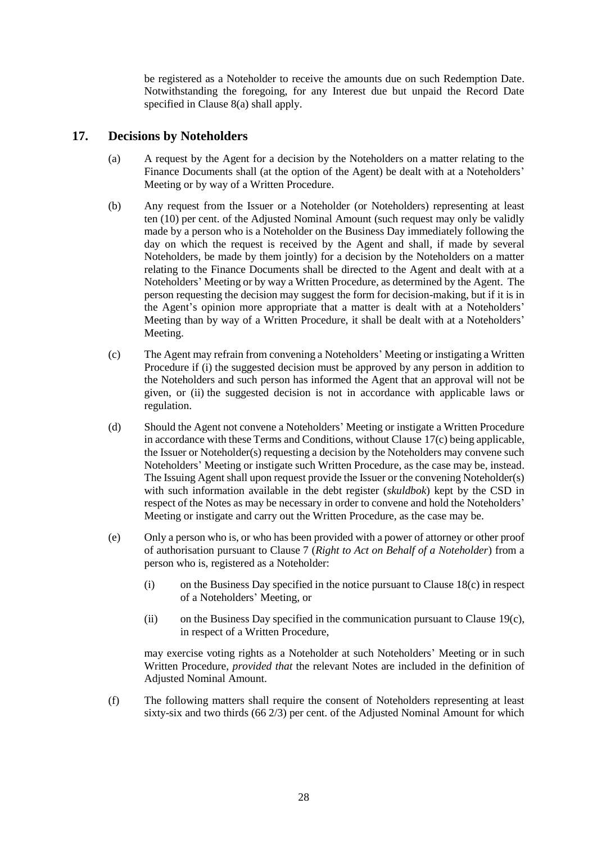be registered as a Noteholder to receive the amounts due on such Redemption Date. Notwithstanding the foregoing, for any Interest due but unpaid the Record Date specified in Clause [8\(a\)](#page-15-3) shall apply.

# <span id="page-29-0"></span>**17. Decisions by Noteholders**

- (a) A request by the Agent for a decision by the Noteholders on a matter relating to the Finance Documents shall (at the option of the Agent) be dealt with at a Noteholders' Meeting or by way of a Written Procedure.
- (b) Any request from the Issuer or a Noteholder (or Noteholders) representing at least ten (10) per cent. of the Adjusted Nominal Amount (such request may only be validly made by a person who is a Noteholder on the Business Day immediately following the day on which the request is received by the Agent and shall, if made by several Noteholders, be made by them jointly) for a decision by the Noteholders on a matter relating to the Finance Documents shall be directed to the Agent and dealt with at a Noteholders' Meeting or by way a Written Procedure, as determined by the Agent. The person requesting the decision may suggest the form for decision-making, but if it is in the Agent's opinion more appropriate that a matter is dealt with at a Noteholders' Meeting than by way of a Written Procedure, it shall be dealt with at a Noteholders' Meeting.
- <span id="page-29-1"></span>(c) The Agent may refrain from convening a Noteholders' Meeting or instigating a Written Procedure if (i) the suggested decision must be approved by any person in addition to the Noteholders and such person has informed the Agent that an approval will not be given, or (ii) the suggested decision is not in accordance with applicable laws or regulation.
- (d) Should the Agent not convene a Noteholders' Meeting or instigate a Written Procedure in accordance with these Terms and Conditions, without Clause [17\(c\)](#page-29-1) being applicable, the Issuer or Noteholder(s) requesting a decision by the Noteholders may convene such Noteholders' Meeting or instigate such Written Procedure, as the case may be, instead. The Issuing Agent shall upon request provide the Issuer or the convening Noteholder(s) with such information available in the debt register (*skuldbok*) kept by the CSD in respect of the Notes as may be necessary in order to convene and hold the Noteholders' Meeting or instigate and carry out the Written Procedure, as the case may be.
- (e) Only a person who is, or who has been provided with a power of attorney or other proof of authorisation pursuant to Clause [7](#page-15-0) (*Right to Act on Behalf of a Noteholder*) from a person who is, registered as a Noteholder:
	- $(i)$  on the Business Day specified in the notice pursuant to Clause [18\(c\)](#page-31-2) in respect of a Noteholders' Meeting, or
	- (ii) on the Business Day specified in the communication pursuant to Clause [19\(c\),](#page-32-2) in respect of a Written Procedure,

may exercise voting rights as a Noteholder at such Noteholders' Meeting or in such Written Procedure, *provided that* the relevant Notes are included in the definition of Adjusted Nominal Amount.

<span id="page-29-2"></span>(f) The following matters shall require the consent of Noteholders representing at least sixty-six and two thirds (66 2/3) per cent. of the Adjusted Nominal Amount for which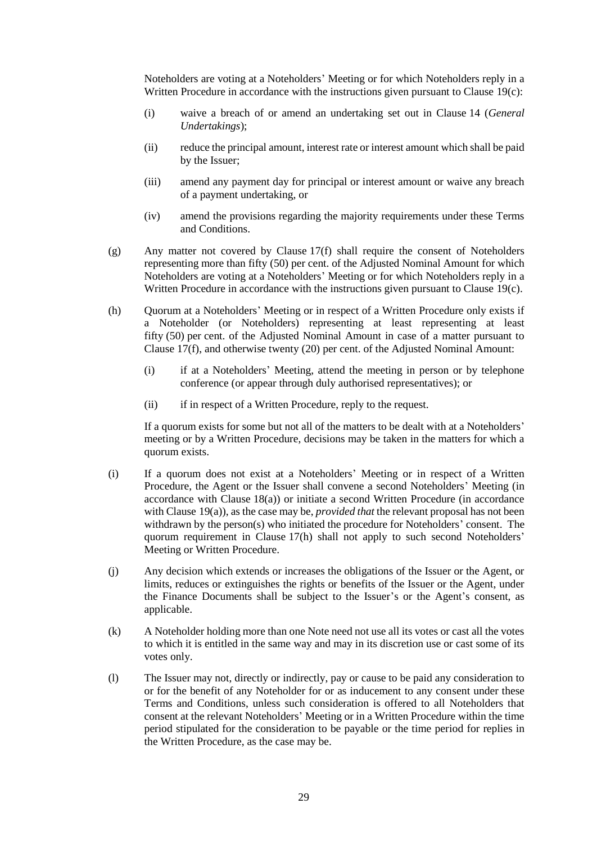Noteholders are voting at a Noteholders' Meeting or for which Noteholders reply in a Written Procedure in accordance with the instructions given pursuant to Clause [19\(c\):](#page-32-2)

- (i) waive a breach of or amend an undertaking set out in Clause [14](#page-22-0) (*General Undertakings*);
- (ii) reduce the principal amount, interest rate or interest amount which shall be paid by the Issuer;
- (iii) amend any payment day for principal or interest amount or waive any breach of a payment undertaking, or
- (iv) amend the provisions regarding the majority requirements under these Terms and Conditions.
- <span id="page-30-1"></span>(g) Any matter not covered by Clause [17\(f\)](#page-29-2) shall require the consent of Noteholders representing more than fifty (50) per cent. of the Adjusted Nominal Amount for which Noteholders are voting at a Noteholders' Meeting or for which Noteholders reply in a Written Procedure in accordance with the instructions given pursuant to Clause [19\(c\).](#page-32-2)
- <span id="page-30-0"></span>(h) Quorum at a Noteholders' Meeting or in respect of a Written Procedure only exists if a Noteholder (or Noteholders) representing at least representing at least fifty (50) per cent. of the Adjusted Nominal Amount in case of a matter pursuant to Clause [17\(f\),](#page-29-2) and otherwise twenty (20) per cent. of the Adjusted Nominal Amount:
	- (i) if at a Noteholders' Meeting, attend the meeting in person or by telephone conference (or appear through duly authorised representatives); or
	- (ii) if in respect of a Written Procedure, reply to the request.

If a quorum exists for some but not all of the matters to be dealt with at a Noteholders' meeting or by a Written Procedure, decisions may be taken in the matters for which a quorum exists.

- (i) If a quorum does not exist at a Noteholders' Meeting or in respect of a Written Procedure, the Agent or the Issuer shall convene a second Noteholders' Meeting (in accordance with Clause [18\(a\)\)](#page-31-3) or initiate a second Written Procedure (in accordance with Clause [19\(a\)\)](#page-32-3), as the case may be, *provided that* the relevant proposal has not been withdrawn by the person(s) who initiated the procedure for Noteholders' consent. The quorum requirement in Clause [17\(h\)](#page-30-0) shall not apply to such second Noteholders' Meeting or Written Procedure.
- (j) Any decision which extends or increases the obligations of the Issuer or the Agent, or limits, reduces or extinguishes the rights or benefits of the Issuer or the Agent, under the Finance Documents shall be subject to the Issuer's or the Agent's consent, as applicable.
- (k) A Noteholder holding more than one Note need not use all its votes or cast all the votes to which it is entitled in the same way and may in its discretion use or cast some of its votes only.
- (l) The Issuer may not, directly or indirectly, pay or cause to be paid any consideration to or for the benefit of any Noteholder for or as inducement to any consent under these Terms and Conditions, unless such consideration is offered to all Noteholders that consent at the relevant Noteholders' Meeting or in a Written Procedure within the time period stipulated for the consideration to be payable or the time period for replies in the Written Procedure, as the case may be.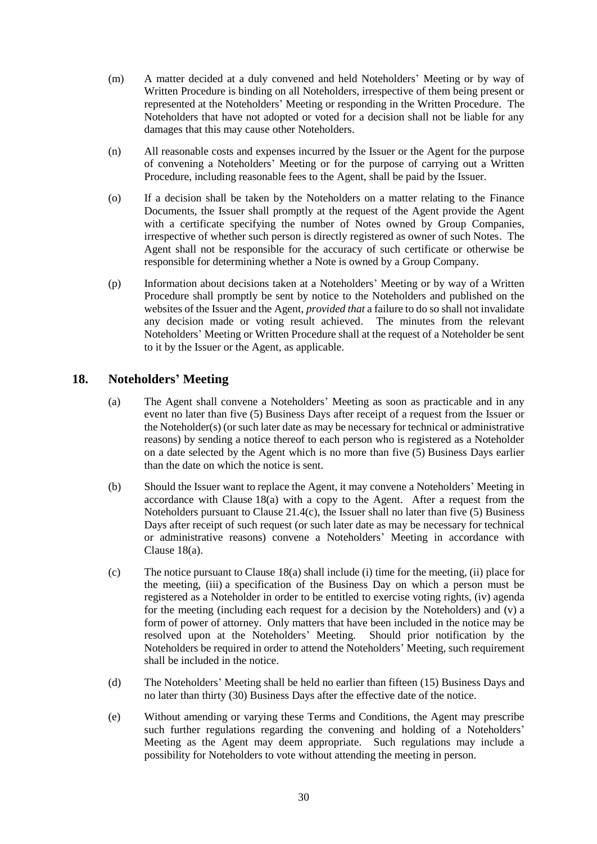- <span id="page-31-1"></span>(m) A matter decided at a duly convened and held Noteholders' Meeting or by way of Written Procedure is binding on all Noteholders, irrespective of them being present or represented at the Noteholders' Meeting or responding in the Written Procedure. The Noteholders that have not adopted or voted for a decision shall not be liable for any damages that this may cause other Noteholders.
- (n) All reasonable costs and expenses incurred by the Issuer or the Agent for the purpose of convening a Noteholders' Meeting or for the purpose of carrying out a Written Procedure, including reasonable fees to the Agent, shall be paid by the Issuer.
- (o) If a decision shall be taken by the Noteholders on a matter relating to the Finance Documents, the Issuer shall promptly at the request of the Agent provide the Agent with a certificate specifying the number of Notes owned by Group Companies, irrespective of whether such person is directly registered as owner of such Notes. The Agent shall not be responsible for the accuracy of such certificate or otherwise be responsible for determining whether a Note is owned by a Group Company.
- <span id="page-31-4"></span>(p) Information about decisions taken at a Noteholders' Meeting or by way of a Written Procedure shall promptly be sent by notice to the Noteholders and published on the websites of the Issuer and the Agent, *provided that* a failure to do so shall not invalidate any decision made or voting result achieved. The minutes from the relevant Noteholders' Meeting or Written Procedure shall at the request of a Noteholder be sent to it by the Issuer or the Agent, as applicable.

# <span id="page-31-3"></span><span id="page-31-0"></span>**18. Noteholders' Meeting**

- (a) The Agent shall convene a Noteholders' Meeting as soon as practicable and in any event no later than five (5) Business Days after receipt of a request from the Issuer or the Noteholder(s) (or such later date as may be necessary for technical or administrative reasons) by sending a notice thereof to each person who is registered as a Noteholder on a date selected by the Agent which is no more than five (5) Business Days earlier than the date on which the notice is sent.
- (b) Should the Issuer want to replace the Agent, it may convene a Noteholders' Meeting in accordance with Clause [18\(a\)](#page-31-3) with a copy to the Agent. After a request from the Noteholders pursuant to Clause [21.4\(c\),](#page-35-0) the Issuer shall no later than five (5) Business Days after receipt of such request (or such later date as may be necessary for technical or administrative reasons) convene a Noteholders' Meeting in accordance with Clause [18\(a\).](#page-31-3)
- <span id="page-31-2"></span>(c) The notice pursuant to Clause [18\(a\)](#page-31-3) shall include (i) time for the meeting, (ii) place for the meeting, (iii) a specification of the Business Day on which a person must be registered as a Noteholder in order to be entitled to exercise voting rights, (iv) agenda for the meeting (including each request for a decision by the Noteholders) and (v) a form of power of attorney. Only matters that have been included in the notice may be resolved upon at the Noteholders' Meeting. Should prior notification by the Noteholders be required in order to attend the Noteholders' Meeting, such requirement shall be included in the notice.
- (d) The Noteholders' Meeting shall be held no earlier than fifteen (15) Business Days and no later than thirty (30) Business Days after the effective date of the notice.
- (e) Without amending or varying these Terms and Conditions, the Agent may prescribe such further regulations regarding the convening and holding of a Noteholders' Meeting as the Agent may deem appropriate. Such regulations may include a possibility for Noteholders to vote without attending the meeting in person.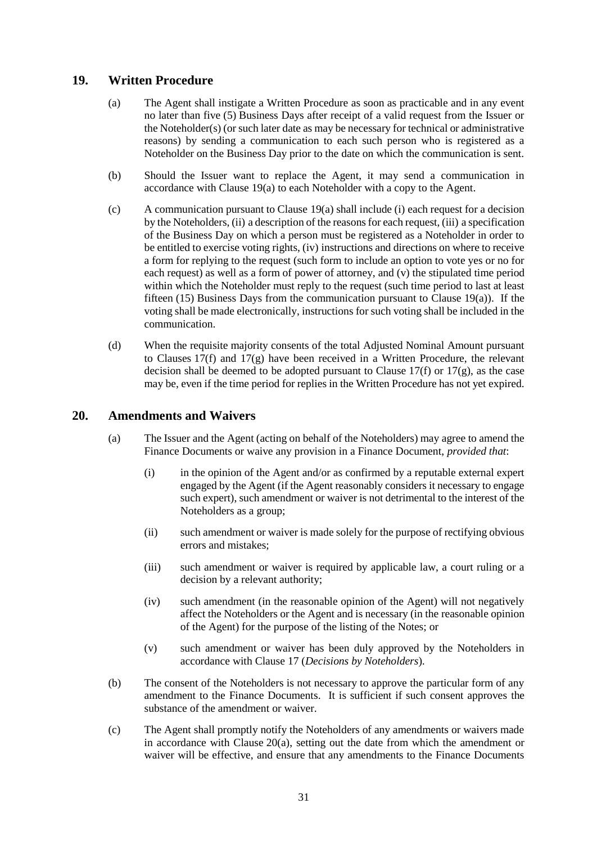# <span id="page-32-3"></span><span id="page-32-0"></span>**19. Written Procedure**

- (a) The Agent shall instigate a Written Procedure as soon as practicable and in any event no later than five (5) Business Days after receipt of a valid request from the Issuer or the Noteholder(s) (or such later date as may be necessary for technical or administrative reasons) by sending a communication to each such person who is registered as a Noteholder on the Business Day prior to the date on which the communication is sent.
- (b) Should the Issuer want to replace the Agent, it may send a communication in accordance with Clause [19\(a\)](#page-32-3) to each Noteholder with a copy to the Agent.
- <span id="page-32-2"></span>(c) A communication pursuant to Clause [19\(a\)](#page-32-3) shall include (i) each request for a decision by the Noteholders, (ii) a description of the reasons for each request, (iii) a specification of the Business Day on which a person must be registered as a Noteholder in order to be entitled to exercise voting rights, (iv) instructions and directions on where to receive a form for replying to the request (such form to include an option to vote yes or no for each request) as well as a form of power of attorney, and (v) the stipulated time period within which the Noteholder must reply to the request (such time period to last at least fifteen (15) Business Days from the communication pursuant to Clause [19\(a\)\)](#page-32-3). If the voting shall be made electronically, instructions for such voting shall be included in the communication.
- (d) When the requisite majority consents of the total Adjusted Nominal Amount pursuant to Clauses  $17(f)$  and  $17(g)$  have been received in a Written Procedure, the relevant decision shall be deemed to be adopted pursuant to Clause  $17(f)$  or  $17(g)$ , as the case may be, even if the time period for replies in the Written Procedure has not yet expired.

# <span id="page-32-4"></span><span id="page-32-1"></span>**20. Amendments and Waivers**

- (a) The Issuer and the Agent (acting on behalf of the Noteholders) may agree to amend the Finance Documents or waive any provision in a Finance Document, *provided that*:
	- (i) in the opinion of the Agent and/or as confirmed by a reputable external expert engaged by the Agent (if the Agent reasonably considers it necessary to engage such expert), such amendment or waiver is not detrimental to the interest of the Noteholders as a group;
	- (ii) such amendment or waiver is made solely for the purpose of rectifying obvious errors and mistakes;
	- (iii) such amendment or waiver is required by applicable law, a court ruling or a decision by a relevant authority;
	- (iv) such amendment (in the reasonable opinion of the Agent) will not negatively affect the Noteholders or the Agent and is necessary (in the reasonable opinion of the Agent) for the purpose of the listing of the Notes; or
	- (v) such amendment or waiver has been duly approved by the Noteholders in accordance with Clause [17](#page-29-0) (*Decisions by Noteholders*).
- (b) The consent of the Noteholders is not necessary to approve the particular form of any amendment to the Finance Documents. It is sufficient if such consent approves the substance of the amendment or waiver.
- <span id="page-32-5"></span>(c) The Agent shall promptly notify the Noteholders of any amendments or waivers made in accordance with Clause  $20(a)$ , setting out the date from which the amendment or waiver will be effective, and ensure that any amendments to the Finance Documents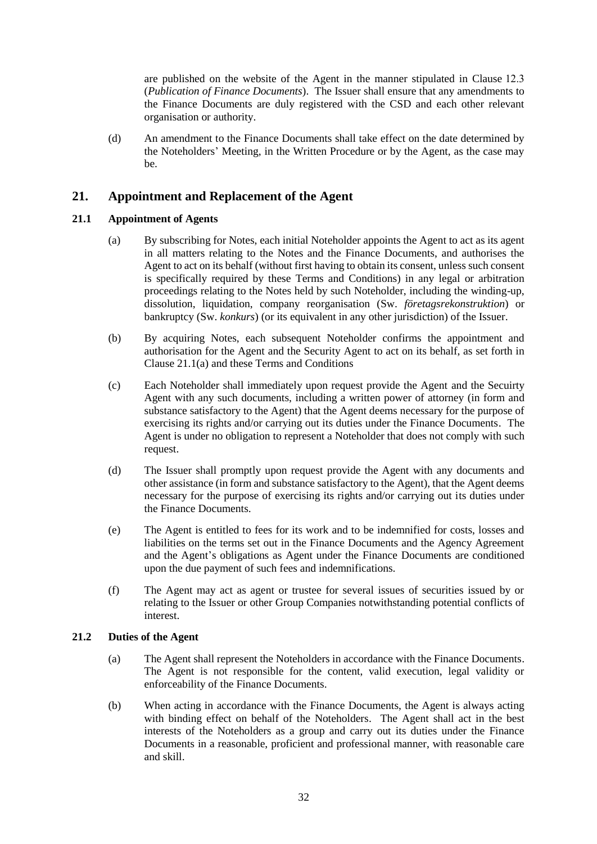are published on the website of the Agent in the manner stipulated in Clause [12.3](#page-20-1) (*Publication of Finance Documents*). The Issuer shall ensure that any amendments to the Finance Documents are duly registered with the CSD and each other relevant organisation or authority.

(d) An amendment to the Finance Documents shall take effect on the date determined by the Noteholders' Meeting, in the Written Procedure or by the Agent, as the case may be.

# <span id="page-33-0"></span>**21. Appointment and Replacement of the Agent**

#### <span id="page-33-1"></span>**21.1 Appointment of Agents**

- (a) By subscribing for Notes, each initial Noteholder appoints the Agent to act as its agent in all matters relating to the Notes and the Finance Documents, and authorises the Agent to act on its behalf (without first having to obtain its consent, unless such consent is specifically required by these Terms and Conditions) in any legal or arbitration proceedings relating to the Notes held by such Noteholder, including the winding-up, dissolution, liquidation, company reorganisation (Sw. *företagsrekonstruktion*) or bankruptcy (Sw. *konkurs*) (or its equivalent in any other jurisdiction) of the Issuer.
- (b) By acquiring Notes, each subsequent Noteholder confirms the appointment and authorisation for the Agent and the Security Agent to act on its behalf, as set forth in Clause [21.1\(a\)](#page-33-1) and these Terms and Conditions
- <span id="page-33-2"></span>(c) Each Noteholder shall immediately upon request provide the Agent and the Secuirty Agent with any such documents, including a written power of attorney (in form and substance satisfactory to the Agent) that the Agent deems necessary for the purpose of exercising its rights and/or carrying out its duties under the Finance Documents. The Agent is under no obligation to represent a Noteholder that does not comply with such request.
- (d) The Issuer shall promptly upon request provide the Agent with any documents and other assistance (in form and substance satisfactory to the Agent), that the Agent deems necessary for the purpose of exercising its rights and/or carrying out its duties under the Finance Documents.
- (e) The Agent is entitled to fees for its work and to be indemnified for costs, losses and liabilities on the terms set out in the Finance Documents and the Agency Agreement and the Agent's obligations as Agent under the Finance Documents are conditioned upon the due payment of such fees and indemnifications.
- (f) The Agent may act as agent or trustee for several issues of securities issued by or relating to the Issuer or other Group Companies notwithstanding potential conflicts of interest.

#### **21.2 Duties of the Agent**

- (a) The Agent shall represent the Noteholders in accordance with the Finance Documents. The Agent is not responsible for the content, valid execution, legal validity or enforceability of the Finance Documents.
- (b) When acting in accordance with the Finance Documents, the Agent is always acting with binding effect on behalf of the Noteholders. The Agent shall act in the best interests of the Noteholders as a group and carry out its duties under the Finance Documents in a reasonable, proficient and professional manner, with reasonable care and skill.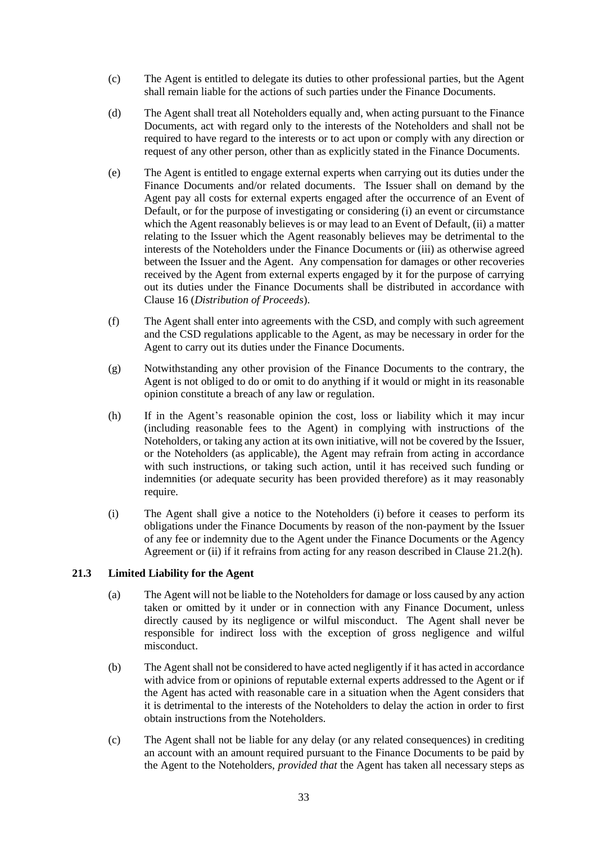- (c) The Agent is entitled to delegate its duties to other professional parties, but the Agent shall remain liable for the actions of such parties under the Finance Documents.
- (d) The Agent shall treat all Noteholders equally and, when acting pursuant to the Finance Documents, act with regard only to the interests of the Noteholders and shall not be required to have regard to the interests or to act upon or comply with any direction or request of any other person, other than as explicitly stated in the Finance Documents.
- (e) The Agent is entitled to engage external experts when carrying out its duties under the Finance Documents and/or related documents. The Issuer shall on demand by the Agent pay all costs for external experts engaged after the occurrence of an Event of Default, or for the purpose of investigating or considering (i) an event or circumstance which the Agent reasonably believes is or may lead to an Event of Default, (ii) a matter relating to the Issuer which the Agent reasonably believes may be detrimental to the interests of the Noteholders under the Finance Documents or (iii) as otherwise agreed between the Issuer and the Agent. Any compensation for damages or other recoveries received by the Agent from external experts engaged by it for the purpose of carrying out its duties under the Finance Documents shall be distributed in accordance with Clause [16](#page-27-0) (*Distribution of Proceeds*).
- (f) The Agent shall enter into agreements with the CSD, and comply with such agreement and the CSD regulations applicable to the Agent, as may be necessary in order for the Agent to carry out its duties under the Finance Documents.
- <span id="page-34-0"></span>(g) Notwithstanding any other provision of the Finance Documents to the contrary, the Agent is not obliged to do or omit to do anything if it would or might in its reasonable opinion constitute a breach of any law or regulation.
- <span id="page-34-1"></span>(h) If in the Agent's reasonable opinion the cost, loss or liability which it may incur (including reasonable fees to the Agent) in complying with instructions of the Noteholders, or taking any action at its own initiative, will not be covered by the Issuer, or the Noteholders (as applicable), the Agent may refrain from acting in accordance with such instructions, or taking such action, until it has received such funding or indemnities (or adequate security has been provided therefore) as it may reasonably require.
- <span id="page-34-2"></span>(i) The Agent shall give a notice to the Noteholders (i) before it ceases to perform its obligations under the Finance Documents by reason of the non-payment by the Issuer of any fee or indemnity due to the Agent under the Finance Documents or the Agency Agreement or (ii) if it refrains from acting for any reason described in Clause [21.2\(h\).](#page-34-1)

#### **21.3 Limited Liability for the Agent**

- (a) The Agent will not be liable to the Noteholders for damage or loss caused by any action taken or omitted by it under or in connection with any Finance Document, unless directly caused by its negligence or wilful misconduct. The Agent shall never be responsible for indirect loss with the exception of gross negligence and wilful misconduct.
- (b) The Agent shall not be considered to have acted negligently if it has acted in accordance with advice from or opinions of reputable external experts addressed to the Agent or if the Agent has acted with reasonable care in a situation when the Agent considers that it is detrimental to the interests of the Noteholders to delay the action in order to first obtain instructions from the Noteholders.
- (c) The Agent shall not be liable for any delay (or any related consequences) in crediting an account with an amount required pursuant to the Finance Documents to be paid by the Agent to the Noteholders, *provided that* the Agent has taken all necessary steps as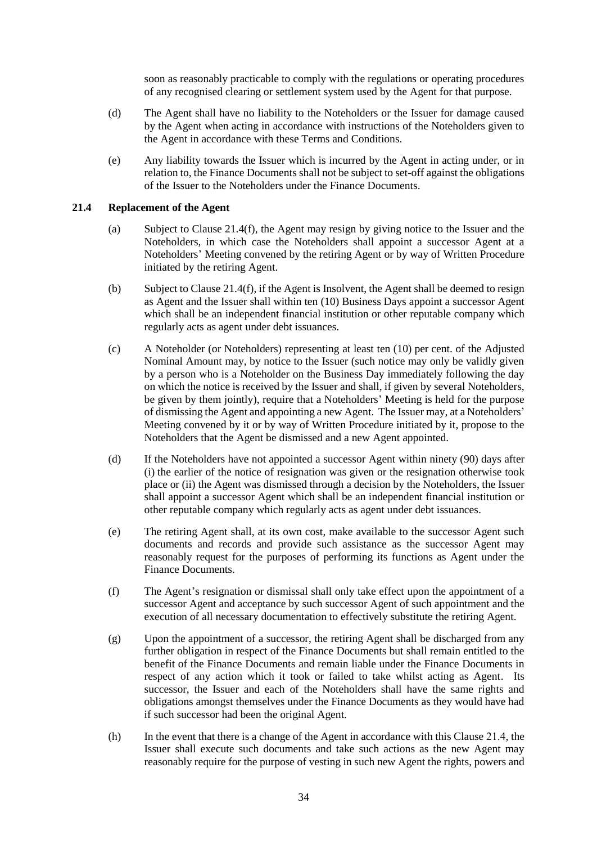soon as reasonably practicable to comply with the regulations or operating procedures of any recognised clearing or settlement system used by the Agent for that purpose.

- (d) The Agent shall have no liability to the Noteholders or the Issuer for damage caused by the Agent when acting in accordance with instructions of the Noteholders given to the Agent in accordance with these Terms and Conditions.
- (e) Any liability towards the Issuer which is incurred by the Agent in acting under, or in relation to, the Finance Documents shall not be subject to set-off against the obligations of the Issuer to the Noteholders under the Finance Documents.

#### <span id="page-35-2"></span>**21.4 Replacement of the Agent**

- (a) Subject to Clause [21.4\(f\),](#page-35-1) the Agent may resign by giving notice to the Issuer and the Noteholders, in which case the Noteholders shall appoint a successor Agent at a Noteholders' Meeting convened by the retiring Agent or by way of Written Procedure initiated by the retiring Agent.
- (b) Subject to Clause [21.4\(f\),](#page-35-1) if the Agent is Insolvent, the Agent shall be deemed to resign as Agent and the Issuer shall within ten (10) Business Days appoint a successor Agent which shall be an independent financial institution or other reputable company which regularly acts as agent under debt issuances.
- <span id="page-35-0"></span>(c) A Noteholder (or Noteholders) representing at least ten (10) per cent. of the Adjusted Nominal Amount may, by notice to the Issuer (such notice may only be validly given by a person who is a Noteholder on the Business Day immediately following the day on which the notice is received by the Issuer and shall, if given by several Noteholders, be given by them jointly), require that a Noteholders' Meeting is held for the purpose of dismissing the Agent and appointing a new Agent. The Issuer may, at a Noteholders' Meeting convened by it or by way of Written Procedure initiated by it, propose to the Noteholders that the Agent be dismissed and a new Agent appointed.
- (d) If the Noteholders have not appointed a successor Agent within ninety (90) days after (i) the earlier of the notice of resignation was given or the resignation otherwise took place or (ii) the Agent was dismissed through a decision by the Noteholders, the Issuer shall appoint a successor Agent which shall be an independent financial institution or other reputable company which regularly acts as agent under debt issuances.
- (e) The retiring Agent shall, at its own cost, make available to the successor Agent such documents and records and provide such assistance as the successor Agent may reasonably request for the purposes of performing its functions as Agent under the Finance Documents.
- <span id="page-35-1"></span>(f) The Agent's resignation or dismissal shall only take effect upon the appointment of a successor Agent and acceptance by such successor Agent of such appointment and the execution of all necessary documentation to effectively substitute the retiring Agent.
- (g) Upon the appointment of a successor, the retiring Agent shall be discharged from any further obligation in respect of the Finance Documents but shall remain entitled to the benefit of the Finance Documents and remain liable under the Finance Documents in respect of any action which it took or failed to take whilst acting as Agent. Its successor, the Issuer and each of the Noteholders shall have the same rights and obligations amongst themselves under the Finance Documents as they would have had if such successor had been the original Agent.
- (h) In the event that there is a change of the Agent in accordance with this Clause [21.4,](#page-35-2) the Issuer shall execute such documents and take such actions as the new Agent may reasonably require for the purpose of vesting in such new Agent the rights, powers and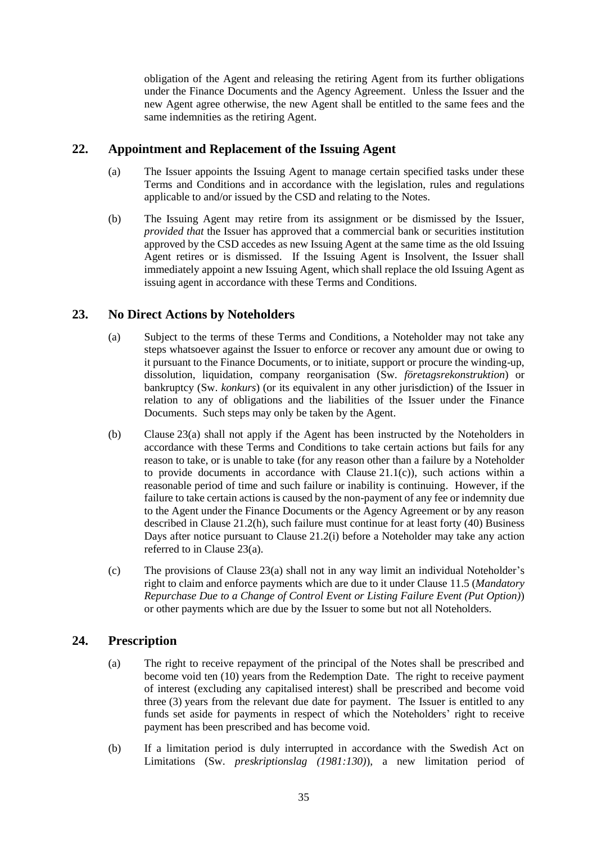obligation of the Agent and releasing the retiring Agent from its further obligations under the Finance Documents and the Agency Agreement. Unless the Issuer and the new Agent agree otherwise, the new Agent shall be entitled to the same fees and the same indemnities as the retiring Agent.

# <span id="page-36-0"></span>**22. Appointment and Replacement of the Issuing Agent**

- (a) The Issuer appoints the Issuing Agent to manage certain specified tasks under these Terms and Conditions and in accordance with the legislation, rules and regulations applicable to and/or issued by the CSD and relating to the Notes.
- (b) The Issuing Agent may retire from its assignment or be dismissed by the Issuer, *provided that* the Issuer has approved that a commercial bank or securities institution approved by the CSD accedes as new Issuing Agent at the same time as the old Issuing Agent retires or is dismissed. If the Issuing Agent is Insolvent, the Issuer shall immediately appoint a new Issuing Agent, which shall replace the old Issuing Agent as issuing agent in accordance with these Terms and Conditions.

# <span id="page-36-3"></span><span id="page-36-1"></span>**23. No Direct Actions by Noteholders**

- (a) Subject to the terms of these Terms and Conditions, a Noteholder may not take any steps whatsoever against the Issuer to enforce or recover any amount due or owing to it pursuant to the Finance Documents, or to initiate, support or procure the winding-up, dissolution, liquidation, company reorganisation (Sw. *företagsrekonstruktion*) or bankruptcy (Sw. *konkurs*) (or its equivalent in any other jurisdiction) of the Issuer in relation to any of obligations and the liabilities of the Issuer under the Finance Documents. Such steps may only be taken by the Agent.
- (b) Clause [23\(a\)](#page-36-3) shall not apply if the Agent has been instructed by the Noteholders in accordance with these Terms and Conditions to take certain actions but fails for any reason to take, or is unable to take (for any reason other than a failure by a Noteholder to provide documents in accordance with Clause  $21.1(c)$ ), such actions within a reasonable period of time and such failure or inability is continuing. However, if the failure to take certain actions is caused by the non-payment of any fee or indemnity due to the Agent under the Finance Documents or the Agency Agreement or by any reason described in Clause [21.2\(h\),](#page-34-1) such failure must continue for at least forty (40) Business Days after notice pursuant to Clause [21.2\(i\)](#page-34-2) before a Noteholder may take any action referred to in Clause [23\(a\).](#page-36-3)
- (c) The provisions of Clause [23\(a\)](#page-36-3) shall not in any way limit an individual Noteholder's right to claim and enforce payments which are due to it under Clause [11.5](#page-19-5) (*Mandatory Repurchase Due to a Change of Control Event or Listing Failure Event (Put Option)*) or other payments which are due by the Issuer to some but not all Noteholders.

# <span id="page-36-2"></span>**24. Prescription**

- (a) The right to receive repayment of the principal of the Notes shall be prescribed and become void ten (10) years from the Redemption Date. The right to receive payment of interest (excluding any capitalised interest) shall be prescribed and become void three (3) years from the relevant due date for payment. The Issuer is entitled to any funds set aside for payments in respect of which the Noteholders' right to receive payment has been prescribed and has become void.
- (b) If a limitation period is duly interrupted in accordance with the Swedish Act on Limitations (Sw. *preskriptionslag (1981:130)*), a new limitation period of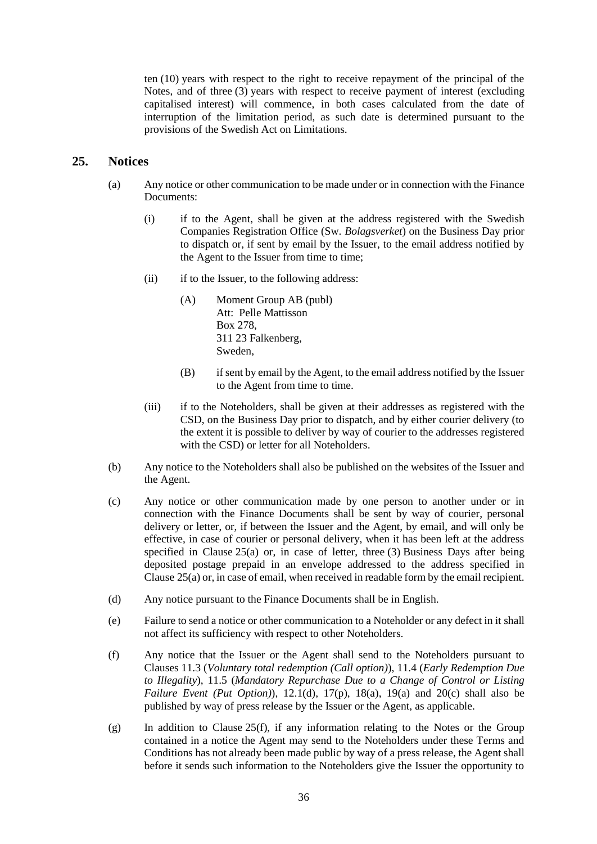ten (10) years with respect to the right to receive repayment of the principal of the Notes, and of three (3) years with respect to receive payment of interest (excluding capitalised interest) will commence, in both cases calculated from the date of interruption of the limitation period, as such date is determined pursuant to the provisions of the Swedish Act on Limitations.

#### <span id="page-37-1"></span><span id="page-37-0"></span>**25. Notices**

- (a) Any notice or other communication to be made under or in connection with the Finance Documents:
	- (i) if to the Agent, shall be given at the address registered with the Swedish Companies Registration Office (Sw. *Bolagsverket*) on the Business Day prior to dispatch or, if sent by email by the Issuer, to the email address notified by the Agent to the Issuer from time to time;
	- (ii) if to the Issuer, to the following address:
		- (A) Moment Group AB (publ) Att: Pelle Mattisson Box 278, 311 23 Falkenberg, Sweden,
		- (B) if sent by email by the Agent, to the email address notified by the Issuer to the Agent from time to time.
	- (iii) if to the Noteholders, shall be given at their addresses as registered with the CSD, on the Business Day prior to dispatch, and by either courier delivery (to the extent it is possible to deliver by way of courier to the addresses registered with the CSD) or letter for all Noteholders.
- (b) Any notice to the Noteholders shall also be published on the websites of the Issuer and the Agent.
- (c) Any notice or other communication made by one person to another under or in connection with the Finance Documents shall be sent by way of courier, personal delivery or letter, or, if between the Issuer and the Agent, by email, and will only be effective, in case of courier or personal delivery, when it has been left at the address specified in Clause [25\(a\)](#page-37-1) or, in case of letter, three (3) Business Days after being deposited postage prepaid in an envelope addressed to the address specified in Clause [25\(a\)](#page-37-1) or, in case of email, when received in readable form by the email recipient.
- (d) Any notice pursuant to the Finance Documents shall be in English.
- (e) Failure to send a notice or other communication to a Noteholder or any defect in it shall not affect its sufficiency with respect to other Noteholders.
- <span id="page-37-2"></span>(f) Any notice that the Issuer or the Agent shall send to the Noteholders pursuant to Clauses [11.3](#page-18-3) (*Voluntary total redemption (Call option)*), [11.4](#page-18-4) (*Early Redemption Due to Illegality*), [11.5](#page-19-5) (*Mandatory Repurchase Due to a Change of Control or Listing Failure Event (Put Option)*), [12.1\(d\),](#page-20-0) [17\(p\),](#page-31-4) [18\(a\),](#page-31-3) [19\(a\)](#page-32-3) and [20\(c\)](#page-32-5) shall also be published by way of press release by the Issuer or the Agent, as applicable.
- $(g)$  In addition to Clause [25\(f\),](#page-37-2) if any information relating to the Notes or the Group contained in a notice the Agent may send to the Noteholders under these Terms and Conditions has not already been made public by way of a press release, the Agent shall before it sends such information to the Noteholders give the Issuer the opportunity to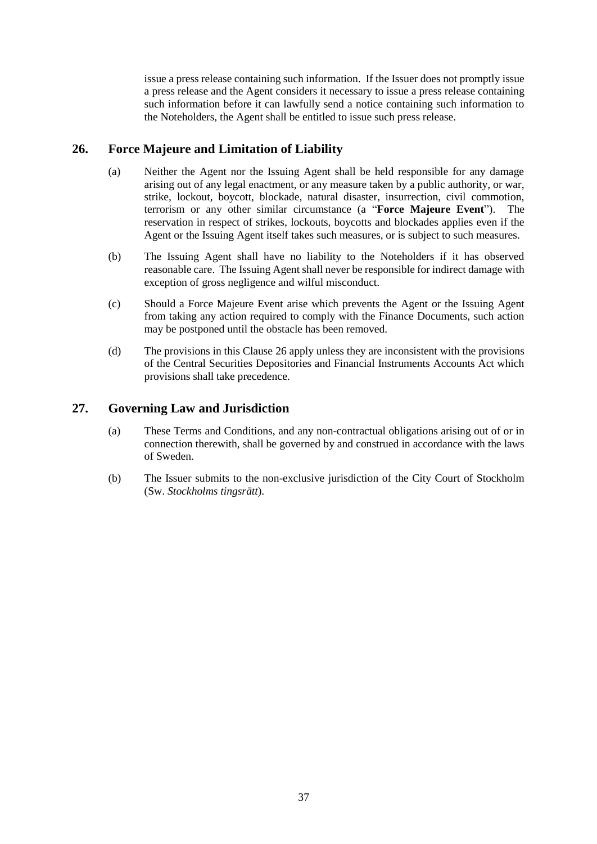issue a press release containing such information. If the Issuer does not promptly issue a press release and the Agent considers it necessary to issue a press release containing such information before it can lawfully send a notice containing such information to the Noteholders, the Agent shall be entitled to issue such press release.

# <span id="page-38-2"></span><span id="page-38-0"></span>**26. Force Majeure and Limitation of Liability**

- (a) Neither the Agent nor the Issuing Agent shall be held responsible for any damage arising out of any legal enactment, or any measure taken by a public authority, or war, strike, lockout, boycott, blockade, natural disaster, insurrection, civil commotion, terrorism or any other similar circumstance (a "**Force Majeure Event**"). The reservation in respect of strikes, lockouts, boycotts and blockades applies even if the Agent or the Issuing Agent itself takes such measures, or is subject to such measures.
- (b) The Issuing Agent shall have no liability to the Noteholders if it has observed reasonable care. The Issuing Agent shall never be responsible for indirect damage with exception of gross negligence and wilful misconduct.
- (c) Should a Force Majeure Event arise which prevents the Agent or the Issuing Agent from taking any action required to comply with the Finance Documents, such action may be postponed until the obstacle has been removed.
- (d) The provisions in this Clause [26](#page-38-0) apply unless they are inconsistent with the provisions of the Central Securities Depositories and Financial Instruments Accounts Act which provisions shall take precedence.

# <span id="page-38-1"></span>**27. Governing Law and Jurisdiction**

- (a) These Terms and Conditions, and any non-contractual obligations arising out of or in connection therewith, shall be governed by and construed in accordance with the laws of Sweden.
- (b) The Issuer submits to the non-exclusive jurisdiction of the City Court of Stockholm (Sw. *Stockholms tingsrätt*).